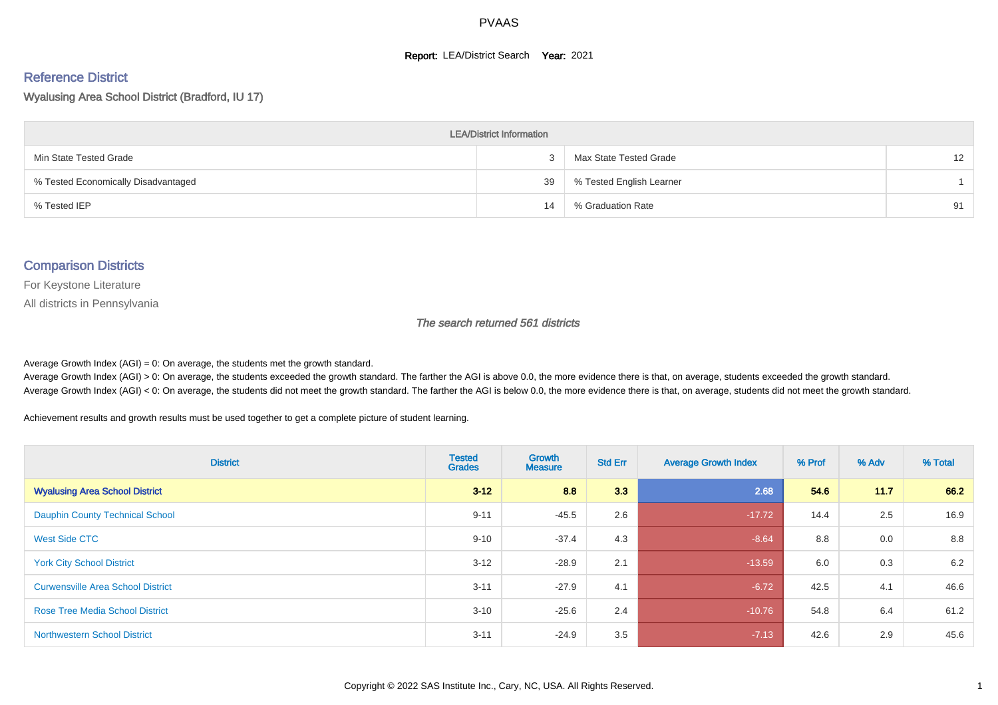#### **Report: LEA/District Search Year: 2021**

# Reference District

Wyalusing Area School District (Bradford, IU 17)

| <b>LEA/District Information</b>     |    |                          |                   |  |  |  |  |  |  |
|-------------------------------------|----|--------------------------|-------------------|--|--|--|--|--|--|
| Min State Tested Grade              |    | Max State Tested Grade   | $12 \overline{ }$ |  |  |  |  |  |  |
| % Tested Economically Disadvantaged | 39 | % Tested English Learner |                   |  |  |  |  |  |  |
| % Tested IEP                        | 14 | % Graduation Rate        | 91                |  |  |  |  |  |  |

#### Comparison Districts

For Keystone Literature

All districts in Pennsylvania

The search returned 561 districts

Average Growth Index  $(AGI) = 0$ : On average, the students met the growth standard.

Average Growth Index (AGI) > 0: On average, the students exceeded the growth standard. The farther the AGI is above 0.0, the more evidence there is that, on average, students exceeded the growth standard. Average Growth Index (AGI) < 0: On average, the students did not meet the growth standard. The farther the AGI is below 0.0, the more evidence there is that, on average, students did not meet the growth standard.

Achievement results and growth results must be used together to get a complete picture of student learning.

| <b>District</b>                          | <b>Tested</b><br><b>Grades</b> | <b>Growth</b><br><b>Measure</b> | <b>Std Err</b> | <b>Average Growth Index</b> | % Prof | % Adv | % Total |
|------------------------------------------|--------------------------------|---------------------------------|----------------|-----------------------------|--------|-------|---------|
| <b>Wyalusing Area School District</b>    | $3 - 12$                       | 8.8                             | 3.3            | 2.68                        | 54.6   | 11.7  | 66.2    |
| <b>Dauphin County Technical School</b>   | $9 - 11$                       | $-45.5$                         | 2.6            | $-17.72$                    | 14.4   | 2.5   | 16.9    |
| West Side CTC                            | $9 - 10$                       | $-37.4$                         | 4.3            | $-8.64$                     | 8.8    | 0.0   | 8.8     |
| <b>York City School District</b>         | $3 - 12$                       | $-28.9$                         | 2.1            | $-13.59$                    | 6.0    | 0.3   | 6.2     |
| <b>Curwensville Area School District</b> | $3 - 11$                       | $-27.9$                         | 4.1            | $-6.72$                     | 42.5   | 4.1   | 46.6    |
| <b>Rose Tree Media School District</b>   | $3 - 10$                       | $-25.6$                         | 2.4            | $-10.76$                    | 54.8   | 6.4   | 61.2    |
| <b>Northwestern School District</b>      | $3 - 11$                       | $-24.9$                         | 3.5            | $-7.13$                     | 42.6   | 2.9   | 45.6    |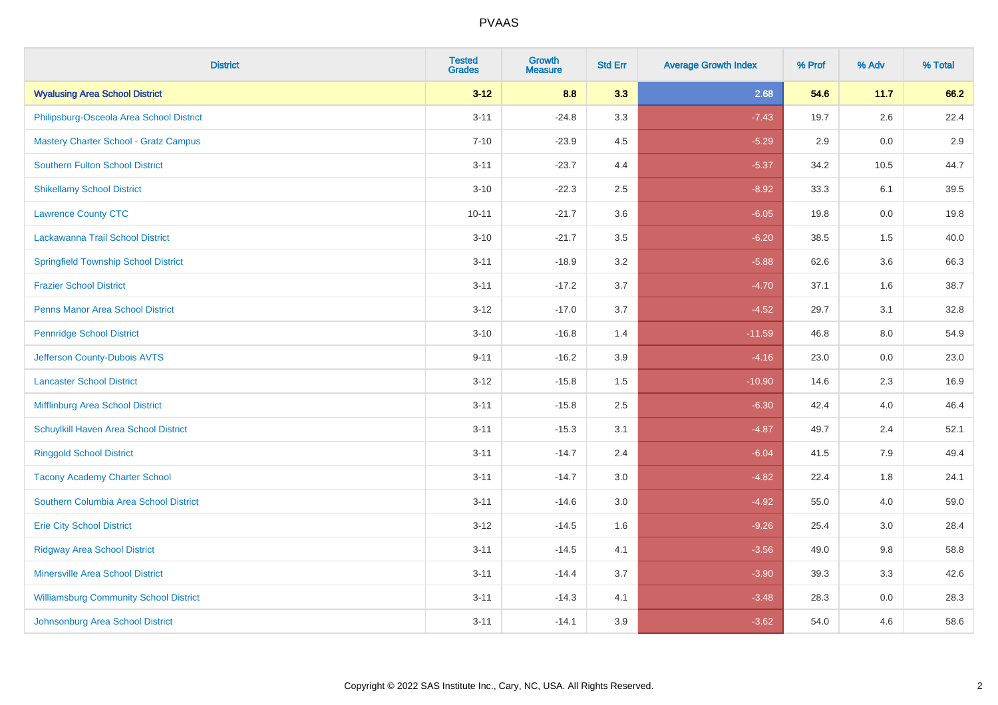| <b>District</b>                               | <b>Tested</b><br><b>Grades</b> | <b>Growth</b><br><b>Measure</b> | <b>Std Err</b> | <b>Average Growth Index</b> | % Prof | % Adv   | % Total |
|-----------------------------------------------|--------------------------------|---------------------------------|----------------|-----------------------------|--------|---------|---------|
| <b>Wyalusing Area School District</b>         | $3 - 12$                       | 8.8                             | 3.3            | 2.68                        | 54.6   | 11.7    | 66.2    |
| Philipsburg-Osceola Area School District      | $3 - 11$                       | $-24.8$                         | 3.3            | $-7.43$                     | 19.7   | 2.6     | 22.4    |
| <b>Mastery Charter School - Gratz Campus</b>  | $7 - 10$                       | $-23.9$                         | 4.5            | $-5.29$                     | 2.9    | 0.0     | 2.9     |
| <b>Southern Fulton School District</b>        | $3 - 11$                       | $-23.7$                         | 4.4            | $-5.37$                     | 34.2   | 10.5    | 44.7    |
| <b>Shikellamy School District</b>             | $3 - 10$                       | $-22.3$                         | 2.5            | $-8.92$                     | 33.3   | 6.1     | 39.5    |
| <b>Lawrence County CTC</b>                    | $10 - 11$                      | $-21.7$                         | 3.6            | $-6.05$                     | 19.8   | 0.0     | 19.8    |
| Lackawanna Trail School District              | $3 - 10$                       | $-21.7$                         | 3.5            | $-6.20$                     | 38.5   | 1.5     | 40.0    |
| <b>Springfield Township School District</b>   | $3 - 11$                       | $-18.9$                         | 3.2            | $-5.88$                     | 62.6   | 3.6     | 66.3    |
| <b>Frazier School District</b>                | $3 - 11$                       | $-17.2$                         | 3.7            | $-4.70$                     | 37.1   | 1.6     | 38.7    |
| <b>Penns Manor Area School District</b>       | $3 - 12$                       | $-17.0$                         | 3.7            | $-4.52$                     | 29.7   | 3.1     | 32.8    |
| <b>Pennridge School District</b>              | $3 - 10$                       | $-16.8$                         | 1.4            | $-11.59$                    | 46.8   | 8.0     | 54.9    |
| Jefferson County-Dubois AVTS                  | $9 - 11$                       | $-16.2$                         | 3.9            | $-4.16$                     | 23.0   | 0.0     | 23.0    |
| <b>Lancaster School District</b>              | $3-12$                         | $-15.8$                         | 1.5            | $-10.90$                    | 14.6   | $2.3\,$ | 16.9    |
| <b>Mifflinburg Area School District</b>       | $3 - 11$                       | $-15.8$                         | 2.5            | $-6.30$                     | 42.4   | 4.0     | 46.4    |
| Schuylkill Haven Area School District         | $3 - 11$                       | $-15.3$                         | 3.1            | $-4.87$                     | 49.7   | 2.4     | 52.1    |
| <b>Ringgold School District</b>               | $3 - 11$                       | $-14.7$                         | 2.4            | $-6.04$                     | 41.5   | 7.9     | 49.4    |
| <b>Tacony Academy Charter School</b>          | $3 - 11$                       | $-14.7$                         | 3.0            | $-4.82$                     | 22.4   | 1.8     | 24.1    |
| Southern Columbia Area School District        | $3 - 11$                       | $-14.6$                         | 3.0            | $-4.92$                     | 55.0   | 4.0     | 59.0    |
| <b>Erie City School District</b>              | $3 - 12$                       | $-14.5$                         | 1.6            | $-9.26$                     | 25.4   | 3.0     | 28.4    |
| <b>Ridgway Area School District</b>           | $3 - 11$                       | $-14.5$                         | 4.1            | $-3.56$                     | 49.0   | 9.8     | 58.8    |
| <b>Minersville Area School District</b>       | $3 - 11$                       | $-14.4$                         | 3.7            | $-3.90$                     | 39.3   | 3.3     | 42.6    |
| <b>Williamsburg Community School District</b> | $3 - 11$                       | $-14.3$                         | 4.1            | $-3.48$                     | 28.3   | 0.0     | 28.3    |
| Johnsonburg Area School District              | $3 - 11$                       | $-14.1$                         | 3.9            | $-3.62$                     | 54.0   | 4.6     | 58.6    |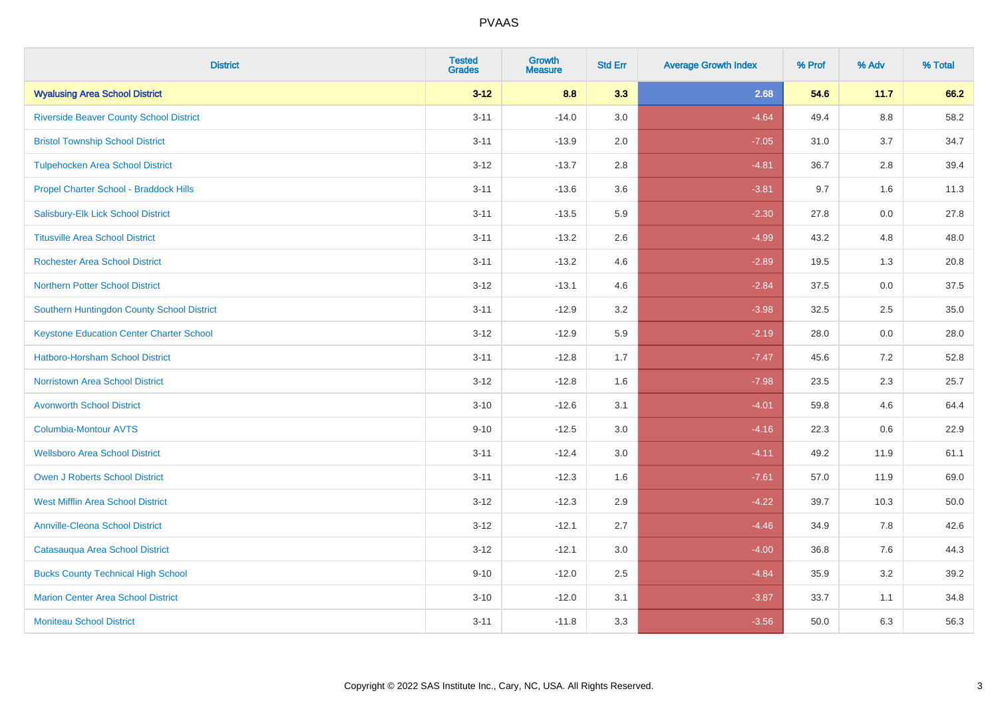| <b>District</b>                                 | <b>Tested</b><br><b>Grades</b> | <b>Growth</b><br><b>Measure</b> | <b>Std Err</b> | <b>Average Growth Index</b> | % Prof | % Adv   | % Total |
|-------------------------------------------------|--------------------------------|---------------------------------|----------------|-----------------------------|--------|---------|---------|
| <b>Wyalusing Area School District</b>           | $3 - 12$                       | 8.8                             | 3.3            | 2.68                        | 54.6   | 11.7    | 66.2    |
| <b>Riverside Beaver County School District</b>  | $3 - 11$                       | $-14.0$                         | 3.0            | $-4.64$                     | 49.4   | $8.8\,$ | 58.2    |
| <b>Bristol Township School District</b>         | $3 - 11$                       | $-13.9$                         | 2.0            | $-7.05$                     | 31.0   | 3.7     | 34.7    |
| <b>Tulpehocken Area School District</b>         | $3 - 12$                       | $-13.7$                         | 2.8            | $-4.81$                     | 36.7   | 2.8     | 39.4    |
| Propel Charter School - Braddock Hills          | $3 - 11$                       | $-13.6$                         | 3.6            | $-3.81$                     | 9.7    | 1.6     | 11.3    |
| Salisbury-Elk Lick School District              | $3 - 11$                       | $-13.5$                         | 5.9            | $-2.30$                     | 27.8   | 0.0     | 27.8    |
| <b>Titusville Area School District</b>          | $3 - 11$                       | $-13.2$                         | 2.6            | $-4.99$                     | 43.2   | 4.8     | 48.0    |
| <b>Rochester Area School District</b>           | $3 - 11$                       | $-13.2$                         | 4.6            | $-2.89$                     | 19.5   | 1.3     | 20.8    |
| <b>Northern Potter School District</b>          | $3 - 12$                       | $-13.1$                         | 4.6            | $-2.84$                     | 37.5   | 0.0     | 37.5    |
| Southern Huntingdon County School District      | $3 - 11$                       | $-12.9$                         | 3.2            | $-3.98$                     | 32.5   | $2.5\,$ | 35.0    |
| <b>Keystone Education Center Charter School</b> | $3 - 12$                       | $-12.9$                         | 5.9            | $-2.19$                     | 28.0   | 0.0     | 28.0    |
| <b>Hatboro-Horsham School District</b>          | $3 - 11$                       | $-12.8$                         | 1.7            | $-7.47$                     | 45.6   | 7.2     | 52.8    |
| <b>Norristown Area School District</b>          | $3 - 12$                       | $-12.8$                         | 1.6            | $-7.98$                     | 23.5   | 2.3     | 25.7    |
| <b>Avonworth School District</b>                | $3 - 10$                       | $-12.6$                         | 3.1            | $-4.01$                     | 59.8   | 4.6     | 64.4    |
| Columbia-Montour AVTS                           | $9 - 10$                       | $-12.5$                         | 3.0            | $-4.16$                     | 22.3   | 0.6     | 22.9    |
| <b>Wellsboro Area School District</b>           | $3 - 11$                       | $-12.4$                         | 3.0            | $-4.11$                     | 49.2   | 11.9    | 61.1    |
| <b>Owen J Roberts School District</b>           | $3 - 11$                       | $-12.3$                         | 1.6            | $-7.61$                     | 57.0   | 11.9    | 69.0    |
| <b>West Mifflin Area School District</b>        | $3 - 12$                       | $-12.3$                         | 2.9            | $-4.22$                     | 39.7   | 10.3    | 50.0    |
| <b>Annville-Cleona School District</b>          | $3 - 12$                       | $-12.1$                         | 2.7            | $-4.46$                     | 34.9   | 7.8     | 42.6    |
| Catasauqua Area School District                 | $3 - 12$                       | $-12.1$                         | 3.0            | $-4.00$                     | 36.8   | 7.6     | 44.3    |
| <b>Bucks County Technical High School</b>       | $9 - 10$                       | $-12.0$                         | 2.5            | $-4.84$                     | 35.9   | 3.2     | 39.2    |
| <b>Marion Center Area School District</b>       | $3 - 10$                       | $-12.0$                         | 3.1            | $-3.87$                     | 33.7   | 1.1     | 34.8    |
| <b>Moniteau School District</b>                 | $3 - 11$                       | $-11.8$                         | 3.3            | $-3.56$                     | 50.0   | 6.3     | 56.3    |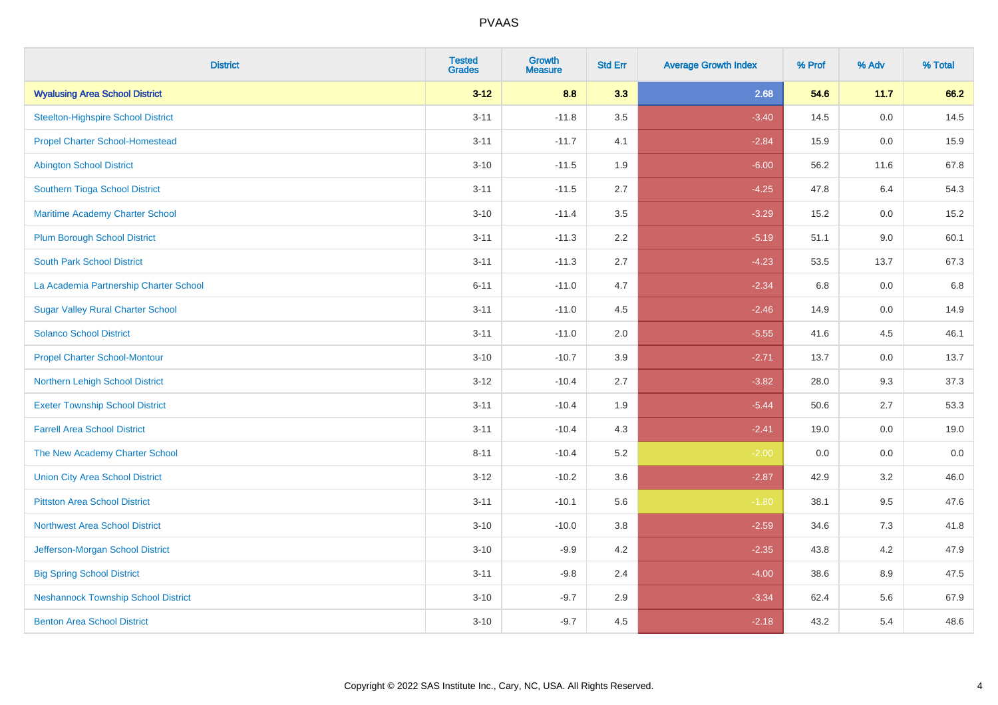| <b>District</b>                            | <b>Tested</b><br><b>Grades</b> | <b>Growth</b><br><b>Measure</b> | <b>Std Err</b> | <b>Average Growth Index</b> | % Prof | % Adv   | % Total |
|--------------------------------------------|--------------------------------|---------------------------------|----------------|-----------------------------|--------|---------|---------|
| <b>Wyalusing Area School District</b>      | $3 - 12$                       | 8.8                             | 3.3            | 2.68                        | 54.6   | 11.7    | 66.2    |
| <b>Steelton-Highspire School District</b>  | $3 - 11$                       | $-11.8$                         | 3.5            | $-3.40$                     | 14.5   | 0.0     | 14.5    |
| <b>Propel Charter School-Homestead</b>     | $3 - 11$                       | $-11.7$                         | 4.1            | $-2.84$                     | 15.9   | 0.0     | 15.9    |
| <b>Abington School District</b>            | $3 - 10$                       | $-11.5$                         | 1.9            | $-6.00$                     | 56.2   | 11.6    | 67.8    |
| <b>Southern Tioga School District</b>      | $3 - 11$                       | $-11.5$                         | 2.7            | $-4.25$                     | 47.8   | 6.4     | 54.3    |
| Maritime Academy Charter School            | $3 - 10$                       | $-11.4$                         | 3.5            | $-3.29$                     | 15.2   | 0.0     | 15.2    |
| <b>Plum Borough School District</b>        | $3 - 11$                       | $-11.3$                         | 2.2            | $-5.19$                     | 51.1   | 9.0     | 60.1    |
| <b>South Park School District</b>          | $3 - 11$                       | $-11.3$                         | 2.7            | $-4.23$                     | 53.5   | 13.7    | 67.3    |
| La Academia Partnership Charter School     | $6 - 11$                       | $-11.0$                         | 4.7            | $-2.34$                     | 6.8    | 0.0     | 6.8     |
| <b>Sugar Valley Rural Charter School</b>   | $3 - 11$                       | $-11.0$                         | 4.5            | $-2.46$                     | 14.9   | 0.0     | 14.9    |
| <b>Solanco School District</b>             | $3 - 11$                       | $-11.0$                         | 2.0            | $-5.55$                     | 41.6   | 4.5     | 46.1    |
| <b>Propel Charter School-Montour</b>       | $3 - 10$                       | $-10.7$                         | 3.9            | $-2.71$                     | 13.7   | 0.0     | 13.7    |
| Northern Lehigh School District            | $3 - 12$                       | $-10.4$                         | 2.7            | $-3.82$                     | 28.0   | 9.3     | 37.3    |
| <b>Exeter Township School District</b>     | $3 - 11$                       | $-10.4$                         | 1.9            | $-5.44$                     | 50.6   | 2.7     | 53.3    |
| <b>Farrell Area School District</b>        | $3 - 11$                       | $-10.4$                         | 4.3            | $-2.41$                     | 19.0   | $0.0\,$ | 19.0    |
| The New Academy Charter School             | $8 - 11$                       | $-10.4$                         | 5.2            | $-2.00$                     | 0.0    | $0.0\,$ | 0.0     |
| <b>Union City Area School District</b>     | $3 - 12$                       | $-10.2$                         | 3.6            | $-2.87$                     | 42.9   | 3.2     | 46.0    |
| <b>Pittston Area School District</b>       | $3 - 11$                       | $-10.1$                         | 5.6            | $-1.80$                     | 38.1   | 9.5     | 47.6    |
| <b>Northwest Area School District</b>      | $3 - 10$                       | $-10.0$                         | 3.8            | $-2.59$                     | 34.6   | $7.3$   | 41.8    |
| Jefferson-Morgan School District           | $3 - 10$                       | $-9.9$                          | 4.2            | $-2.35$                     | 43.8   | 4.2     | 47.9    |
| <b>Big Spring School District</b>          | $3 - 11$                       | $-9.8$                          | 2.4            | $-4.00$                     | 38.6   | 8.9     | 47.5    |
| <b>Neshannock Township School District</b> | $3 - 10$                       | $-9.7$                          | 2.9            | $-3.34$                     | 62.4   | 5.6     | 67.9    |
| <b>Benton Area School District</b>         | $3 - 10$                       | $-9.7$                          | 4.5            | $-2.18$                     | 43.2   | 5.4     | 48.6    |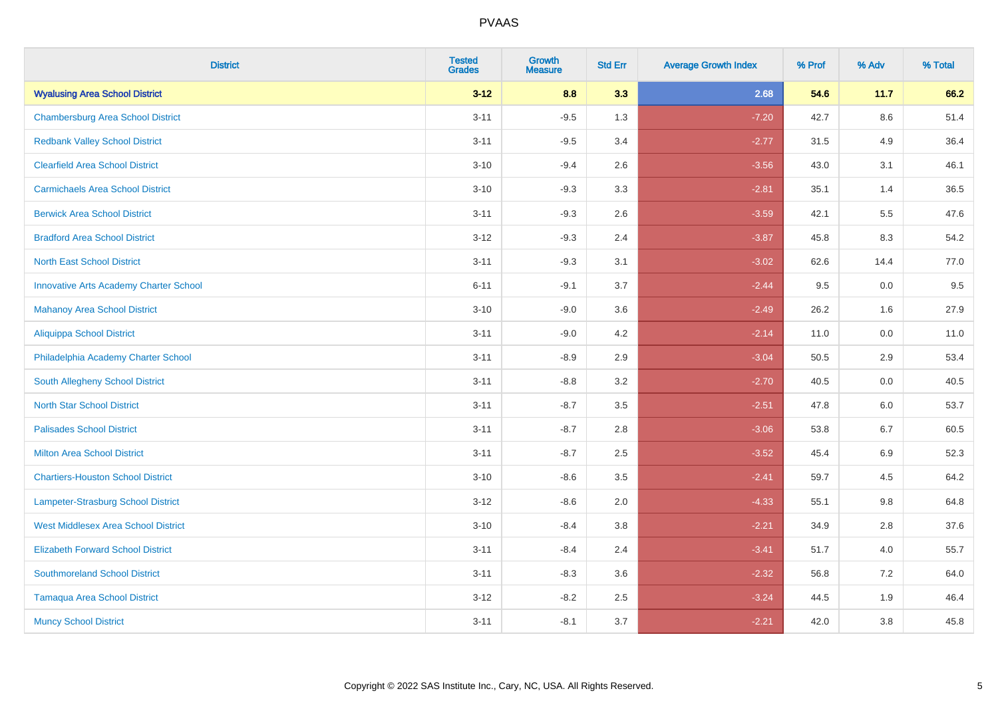| <b>District</b>                               | <b>Tested</b><br><b>Grades</b> | <b>Growth</b><br><b>Measure</b> | <b>Std Err</b> | <b>Average Growth Index</b> | % Prof | % Adv   | % Total |
|-----------------------------------------------|--------------------------------|---------------------------------|----------------|-----------------------------|--------|---------|---------|
| <b>Wyalusing Area School District</b>         | $3 - 12$                       | 8.8                             | 3.3            | 2.68                        | 54.6   | 11.7    | 66.2    |
| <b>Chambersburg Area School District</b>      | $3 - 11$                       | $-9.5$                          | 1.3            | $-7.20$                     | 42.7   | $8.6\,$ | 51.4    |
| <b>Redbank Valley School District</b>         | $3 - 11$                       | $-9.5$                          | 3.4            | $-2.77$                     | 31.5   | 4.9     | 36.4    |
| <b>Clearfield Area School District</b>        | $3 - 10$                       | $-9.4$                          | 2.6            | $-3.56$                     | 43.0   | 3.1     | 46.1    |
| <b>Carmichaels Area School District</b>       | $3 - 10$                       | $-9.3$                          | 3.3            | $-2.81$                     | 35.1   | 1.4     | 36.5    |
| <b>Berwick Area School District</b>           | $3 - 11$                       | $-9.3$                          | 2.6            | $-3.59$                     | 42.1   | 5.5     | 47.6    |
| <b>Bradford Area School District</b>          | $3 - 12$                       | $-9.3$                          | 2.4            | $-3.87$                     | 45.8   | 8.3     | 54.2    |
| <b>North East School District</b>             | $3 - 11$                       | $-9.3$                          | 3.1            | $-3.02$                     | 62.6   | 14.4    | 77.0    |
| <b>Innovative Arts Academy Charter School</b> | $6 - 11$                       | $-9.1$                          | 3.7            | $-2.44$                     | 9.5    | 0.0     | 9.5     |
| <b>Mahanoy Area School District</b>           | $3 - 10$                       | $-9.0$                          | 3.6            | $-2.49$                     | 26.2   | 1.6     | 27.9    |
| Aliquippa School District                     | $3 - 11$                       | $-9.0$                          | 4.2            | $-2.14$                     | 11.0   | 0.0     | 11.0    |
| Philadelphia Academy Charter School           | $3 - 11$                       | $-8.9$                          | 2.9            | $-3.04$                     | 50.5   | 2.9     | 53.4    |
| South Allegheny School District               | $3 - 11$                       | $-8.8$                          | 3.2            | $-2.70$                     | 40.5   | 0.0     | 40.5    |
| <b>North Star School District</b>             | $3 - 11$                       | $-8.7$                          | 3.5            | $-2.51$                     | 47.8   | 6.0     | 53.7    |
| <b>Palisades School District</b>              | $3 - 11$                       | $-8.7$                          | 2.8            | $-3.06$                     | 53.8   | 6.7     | 60.5    |
| <b>Milton Area School District</b>            | $3 - 11$                       | $-8.7$                          | 2.5            | $-3.52$                     | 45.4   | $6.9\,$ | 52.3    |
| <b>Chartiers-Houston School District</b>      | $3 - 10$                       | $-8.6$                          | 3.5            | $-2.41$                     | 59.7   | 4.5     | 64.2    |
| Lampeter-Strasburg School District            | $3 - 12$                       | $-8.6$                          | 2.0            | $-4.33$                     | 55.1   | 9.8     | 64.8    |
| <b>West Middlesex Area School District</b>    | $3 - 10$                       | $-8.4$                          | 3.8            | $-2.21$                     | 34.9   | 2.8     | 37.6    |
| <b>Elizabeth Forward School District</b>      | $3 - 11$                       | $-8.4$                          | 2.4            | $-3.41$                     | 51.7   | 4.0     | 55.7    |
| <b>Southmoreland School District</b>          | $3 - 11$                       | $-8.3$                          | 3.6            | $-2.32$                     | 56.8   | 7.2     | 64.0    |
| <b>Tamaqua Area School District</b>           | $3 - 12$                       | $-8.2$                          | 2.5            | $-3.24$                     | 44.5   | 1.9     | 46.4    |
| <b>Muncy School District</b>                  | $3 - 11$                       | $-8.1$                          | 3.7            | $-2.21$                     | 42.0   | 3.8     | 45.8    |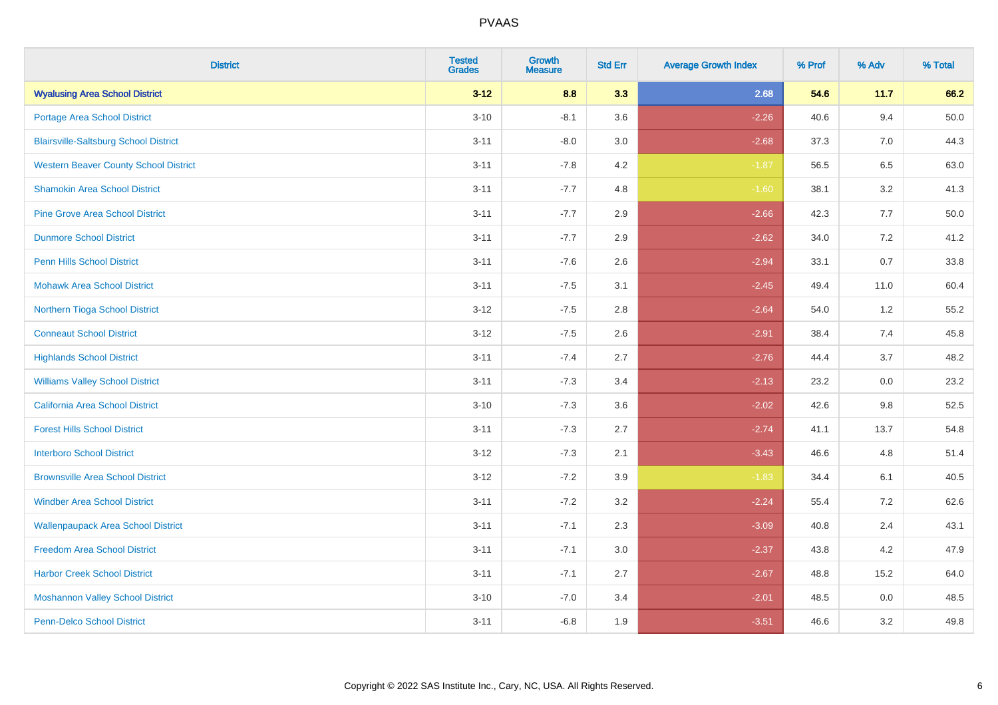| <b>District</b>                              | <b>Tested</b><br><b>Grades</b> | <b>Growth</b><br><b>Measure</b> | <b>Std Err</b> | <b>Average Growth Index</b> | % Prof | % Adv   | % Total  |
|----------------------------------------------|--------------------------------|---------------------------------|----------------|-----------------------------|--------|---------|----------|
| <b>Wyalusing Area School District</b>        | $3 - 12$                       | 8.8                             | 3.3            | 2.68                        | 54.6   | 11.7    | 66.2     |
| Portage Area School District                 | $3 - 10$                       | $-8.1$                          | 3.6            | $-2.26$                     | 40.6   | 9.4     | $50.0\,$ |
| <b>Blairsville-Saltsburg School District</b> | $3 - 11$                       | $-8.0$                          | 3.0            | $-2.68$                     | 37.3   | 7.0     | 44.3     |
| <b>Western Beaver County School District</b> | $3 - 11$                       | $-7.8$                          | 4.2            | $-1.87$                     | 56.5   | 6.5     | 63.0     |
| <b>Shamokin Area School District</b>         | $3 - 11$                       | $-7.7$                          | 4.8            | $-1.60$                     | 38.1   | 3.2     | 41.3     |
| <b>Pine Grove Area School District</b>       | $3 - 11$                       | $-7.7$                          | 2.9            | $-2.66$                     | 42.3   | 7.7     | 50.0     |
| <b>Dunmore School District</b>               | $3 - 11$                       | $-7.7$                          | 2.9            | $-2.62$                     | 34.0   | 7.2     | 41.2     |
| <b>Penn Hills School District</b>            | $3 - 11$                       | $-7.6$                          | 2.6            | $-2.94$                     | 33.1   | 0.7     | 33.8     |
| <b>Mohawk Area School District</b>           | $3 - 11$                       | $-7.5$                          | 3.1            | $-2.45$                     | 49.4   | 11.0    | 60.4     |
| Northern Tioga School District               | $3 - 12$                       | $-7.5$                          | 2.8            | $-2.64$                     | 54.0   | 1.2     | 55.2     |
| <b>Conneaut School District</b>              | $3 - 12$                       | $-7.5$                          | 2.6            | $-2.91$                     | 38.4   | 7.4     | 45.8     |
| <b>Highlands School District</b>             | $3 - 11$                       | $-7.4$                          | 2.7            | $-2.76$                     | 44.4   | 3.7     | 48.2     |
| <b>Williams Valley School District</b>       | $3 - 11$                       | $-7.3$                          | 3.4            | $-2.13$                     | 23.2   | 0.0     | 23.2     |
| <b>California Area School District</b>       | $3 - 10$                       | $-7.3$                          | 3.6            | $-2.02$                     | 42.6   | 9.8     | 52.5     |
| <b>Forest Hills School District</b>          | $3 - 11$                       | $-7.3$                          | 2.7            | $-2.74$                     | 41.1   | 13.7    | 54.8     |
| <b>Interboro School District</b>             | $3 - 12$                       | $-7.3$                          | 2.1            | $-3.43$                     | 46.6   | 4.8     | 51.4     |
| <b>Brownsville Area School District</b>      | $3 - 12$                       | $-7.2$                          | 3.9            | $-1.83$                     | 34.4   | 6.1     | 40.5     |
| <b>Windber Area School District</b>          | $3 - 11$                       | $-7.2$                          | 3.2            | $-2.24$                     | 55.4   | 7.2     | 62.6     |
| <b>Wallenpaupack Area School District</b>    | $3 - 11$                       | $-7.1$                          | 2.3            | $-3.09$                     | 40.8   | 2.4     | 43.1     |
| <b>Freedom Area School District</b>          | $3 - 11$                       | $-7.1$                          | 3.0            | $-2.37$                     | 43.8   | 4.2     | 47.9     |
| <b>Harbor Creek School District</b>          | $3 - 11$                       | $-7.1$                          | 2.7            | $-2.67$                     | 48.8   | 15.2    | 64.0     |
| <b>Moshannon Valley School District</b>      | $3 - 10$                       | $-7.0$                          | 3.4            | $-2.01$                     | 48.5   | $0.0\,$ | 48.5     |
| <b>Penn-Delco School District</b>            | $3 - 11$                       | $-6.8$                          | 1.9            | $-3.51$                     | 46.6   | 3.2     | 49.8     |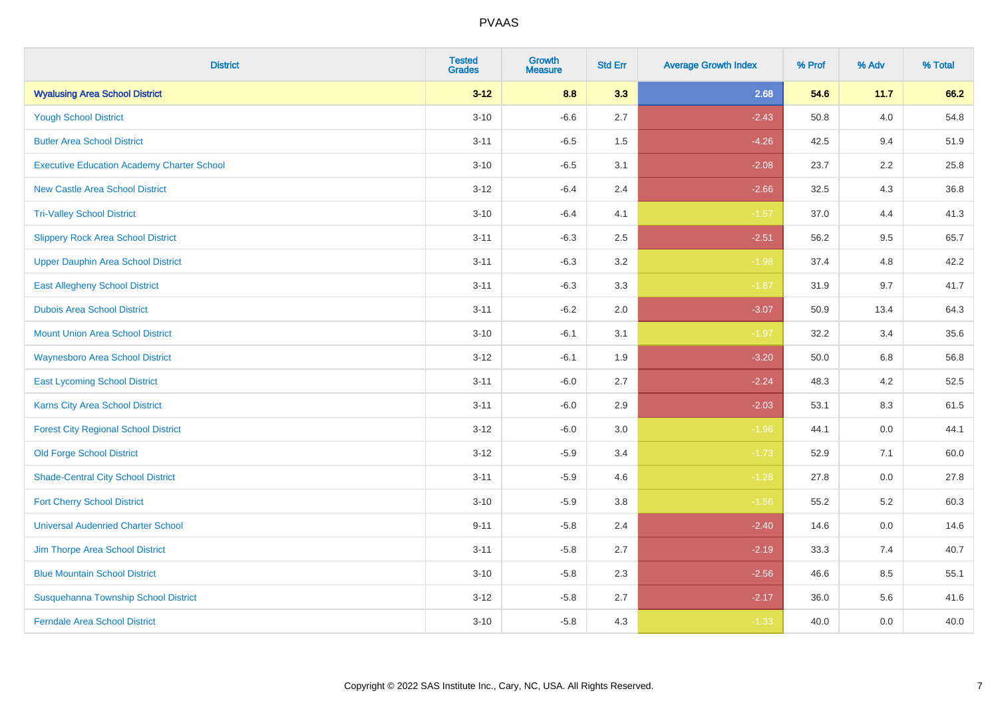| <b>District</b>                                   | <b>Tested</b><br><b>Grades</b> | <b>Growth</b><br><b>Measure</b> | <b>Std Err</b> | <b>Average Growth Index</b> | % Prof | % Adv   | % Total |
|---------------------------------------------------|--------------------------------|---------------------------------|----------------|-----------------------------|--------|---------|---------|
| <b>Wyalusing Area School District</b>             | $3 - 12$                       | 8.8                             | 3.3            | 2.68                        | 54.6   | 11.7    | 66.2    |
| <b>Yough School District</b>                      | $3 - 10$                       | $-6.6$                          | 2.7            | $-2.43$                     | 50.8   | 4.0     | 54.8    |
| <b>Butler Area School District</b>                | $3 - 11$                       | $-6.5$                          | 1.5            | $-4.26$                     | 42.5   | 9.4     | 51.9    |
| <b>Executive Education Academy Charter School</b> | $3 - 10$                       | $-6.5$                          | 3.1            | $-2.08$                     | 23.7   | 2.2     | 25.8    |
| <b>New Castle Area School District</b>            | $3 - 12$                       | $-6.4$                          | 2.4            | $-2.66$                     | 32.5   | 4.3     | 36.8    |
| <b>Tri-Valley School District</b>                 | $3 - 10$                       | $-6.4$                          | 4.1            | $-1.57$                     | 37.0   | 4.4     | 41.3    |
| <b>Slippery Rock Area School District</b>         | $3 - 11$                       | $-6.3$                          | 2.5            | $-2.51$                     | 56.2   | 9.5     | 65.7    |
| <b>Upper Dauphin Area School District</b>         | $3 - 11$                       | $-6.3$                          | 3.2            | $-1.98$                     | 37.4   | 4.8     | 42.2    |
| <b>East Allegheny School District</b>             | $3 - 11$                       | $-6.3$                          | 3.3            | $-1.87$                     | 31.9   | 9.7     | 41.7    |
| <b>Dubois Area School District</b>                | $3 - 11$                       | $-6.2$                          | 2.0            | $-3.07$                     | 50.9   | 13.4    | 64.3    |
| <b>Mount Union Area School District</b>           | $3 - 10$                       | $-6.1$                          | 3.1            | $-1.97$                     | 32.2   | 3.4     | 35.6    |
| <b>Waynesboro Area School District</b>            | $3 - 12$                       | $-6.1$                          | 1.9            | $-3.20$                     | 50.0   | 6.8     | 56.8    |
| <b>East Lycoming School District</b>              | $3 - 11$                       | $-6.0$                          | 2.7            | $-2.24$                     | 48.3   | 4.2     | 52.5    |
| <b>Karns City Area School District</b>            | $3 - 11$                       | $-6.0$                          | 2.9            | $-2.03$                     | 53.1   | 8.3     | 61.5    |
| <b>Forest City Regional School District</b>       | $3 - 12$                       | $-6.0$                          | $3.0\,$        | $-1.96$                     | 44.1   | $0.0\,$ | 44.1    |
| <b>Old Forge School District</b>                  | $3 - 12$                       | $-5.9$                          | 3.4            | $-1.73$                     | 52.9   | 7.1     | 60.0    |
| <b>Shade-Central City School District</b>         | $3 - 11$                       | $-5.9$                          | 4.6            | $-1.28$                     | 27.8   | 0.0     | 27.8    |
| <b>Fort Cherry School District</b>                | $3 - 10$                       | $-5.9$                          | 3.8            | $-1.56$                     | 55.2   | 5.2     | 60.3    |
| <b>Universal Audenried Charter School</b>         | $9 - 11$                       | $-5.8$                          | 2.4            | $-2.40$                     | 14.6   | 0.0     | 14.6    |
| Jim Thorpe Area School District                   | $3 - 11$                       | $-5.8$                          | 2.7            | $-2.19$                     | 33.3   | 7.4     | 40.7    |
| <b>Blue Mountain School District</b>              | $3 - 10$                       | $-5.8$                          | 2.3            | $-2.56$                     | 46.6   | 8.5     | 55.1    |
| Susquehanna Township School District              | $3 - 12$                       | $-5.8$                          | 2.7            | $-2.17$                     | 36.0   | 5.6     | 41.6    |
| <b>Ferndale Area School District</b>              | $3 - 10$                       | $-5.8$                          | 4.3            | $-1.33$                     | 40.0   | 0.0     | 40.0    |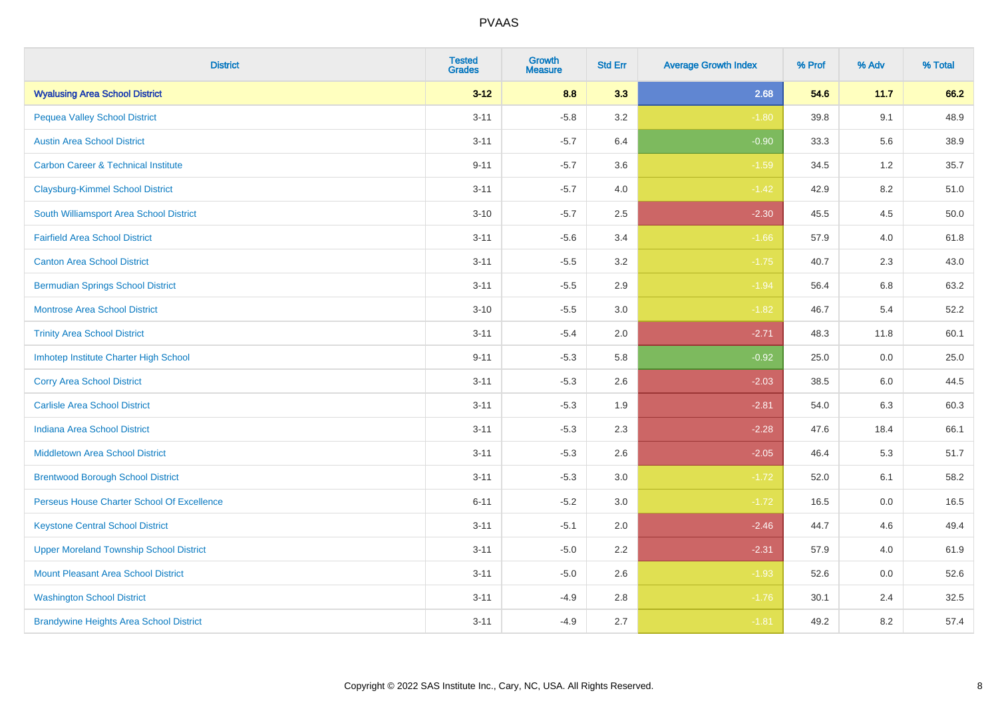| <b>District</b>                                | <b>Tested</b><br><b>Grades</b> | <b>Growth</b><br><b>Measure</b> | <b>Std Err</b> | <b>Average Growth Index</b> | % Prof | % Adv | % Total |
|------------------------------------------------|--------------------------------|---------------------------------|----------------|-----------------------------|--------|-------|---------|
| <b>Wyalusing Area School District</b>          | $3 - 12$                       | 8.8                             | 3.3            | 2.68                        | 54.6   | 11.7  | 66.2    |
| <b>Pequea Valley School District</b>           | $3 - 11$                       | $-5.8$                          | $3.2\,$        | $-1.80$                     | 39.8   | 9.1   | 48.9    |
| <b>Austin Area School District</b>             | $3 - 11$                       | $-5.7$                          | 6.4            | $-0.90$                     | 33.3   | 5.6   | 38.9    |
| <b>Carbon Career &amp; Technical Institute</b> | $9 - 11$                       | $-5.7$                          | 3.6            | $-1.59$                     | 34.5   | 1.2   | 35.7    |
| <b>Claysburg-Kimmel School District</b>        | $3 - 11$                       | $-5.7$                          | 4.0            | $-1.42$                     | 42.9   | 8.2   | 51.0    |
| South Williamsport Area School District        | $3 - 10$                       | $-5.7$                          | 2.5            | $-2.30$                     | 45.5   | 4.5   | 50.0    |
| <b>Fairfield Area School District</b>          | $3 - 11$                       | $-5.6$                          | 3.4            | $-1.66$                     | 57.9   | 4.0   | 61.8    |
| <b>Canton Area School District</b>             | $3 - 11$                       | $-5.5$                          | 3.2            | $-1.75$                     | 40.7   | 2.3   | 43.0    |
| <b>Bermudian Springs School District</b>       | $3 - 11$                       | $-5.5$                          | 2.9            | $-1.94$                     | 56.4   | 6.8   | 63.2    |
| <b>Montrose Area School District</b>           | $3 - 10$                       | $-5.5$                          | 3.0            | $-1.82$                     | 46.7   | 5.4   | 52.2    |
| <b>Trinity Area School District</b>            | $3 - 11$                       | $-5.4$                          | 2.0            | $-2.71$                     | 48.3   | 11.8  | 60.1    |
| Imhotep Institute Charter High School          | $9 - 11$                       | $-5.3$                          | 5.8            | $-0.92$                     | 25.0   | 0.0   | 25.0    |
| <b>Corry Area School District</b>              | $3 - 11$                       | $-5.3$                          | 2.6            | $-2.03$                     | 38.5   | 6.0   | 44.5    |
| <b>Carlisle Area School District</b>           | $3 - 11$                       | $-5.3$                          | 1.9            | $-2.81$                     | 54.0   | 6.3   | 60.3    |
| <b>Indiana Area School District</b>            | $3 - 11$                       | $-5.3$                          | 2.3            | $-2.28$                     | 47.6   | 18.4  | 66.1    |
| <b>Middletown Area School District</b>         | $3 - 11$                       | $-5.3$                          | 2.6            | $-2.05$                     | 46.4   | 5.3   | 51.7    |
| <b>Brentwood Borough School District</b>       | $3 - 11$                       | $-5.3$                          | 3.0            | $-1.72$                     | 52.0   | 6.1   | 58.2    |
| Perseus House Charter School Of Excellence     | $6 - 11$                       | $-5.2$                          | 3.0            | $-1.72$                     | 16.5   | 0.0   | 16.5    |
| <b>Keystone Central School District</b>        | $3 - 11$                       | $-5.1$                          | 2.0            | $-2.46$                     | 44.7   | 4.6   | 49.4    |
| <b>Upper Moreland Township School District</b> | $3 - 11$                       | $-5.0$                          | 2.2            | $-2.31$                     | 57.9   | 4.0   | 61.9    |
| <b>Mount Pleasant Area School District</b>     | $3 - 11$                       | $-5.0$                          | 2.6            | $-1.93$                     | 52.6   | 0.0   | 52.6    |
| <b>Washington School District</b>              | $3 - 11$                       | $-4.9$                          | 2.8            | $-1.76$                     | 30.1   | 2.4   | 32.5    |
| <b>Brandywine Heights Area School District</b> | $3 - 11$                       | $-4.9$                          | 2.7            | $-1.81$                     | 49.2   | 8.2   | 57.4    |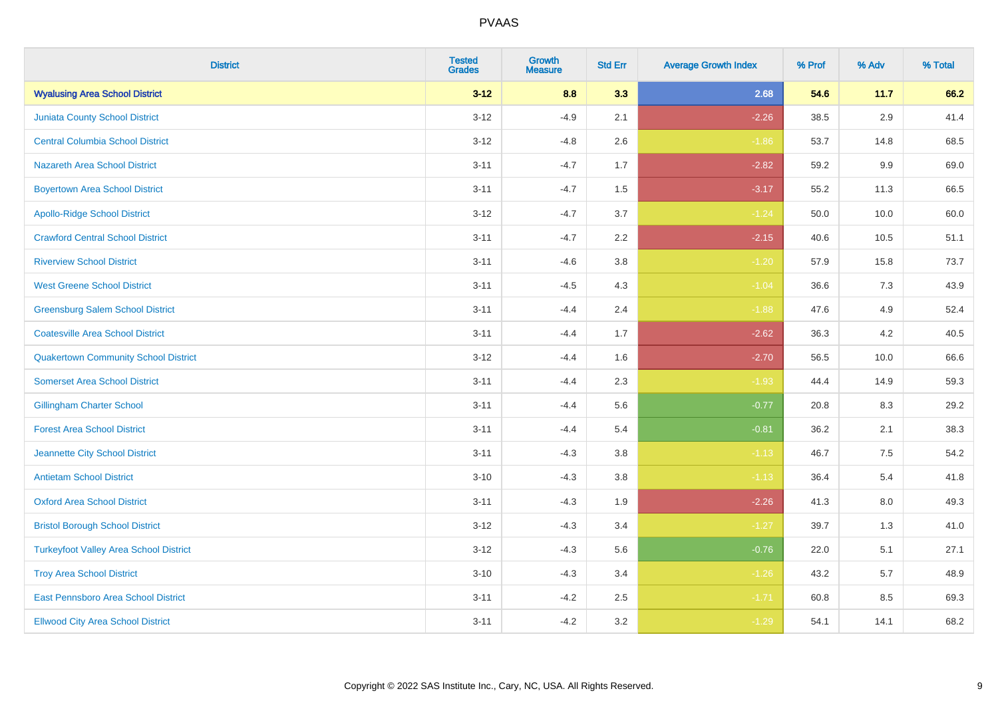| <b>District</b>                               | <b>Tested</b><br><b>Grades</b> | <b>Growth</b><br><b>Measure</b> | <b>Std Err</b> | <b>Average Growth Index</b> | % Prof | % Adv   | % Total |
|-----------------------------------------------|--------------------------------|---------------------------------|----------------|-----------------------------|--------|---------|---------|
| <b>Wyalusing Area School District</b>         | $3 - 12$                       | 8.8                             | 3.3            | 2.68                        | 54.6   | 11.7    | 66.2    |
| Juniata County School District                | $3 - 12$                       | $-4.9$                          | 2.1            | $-2.26$                     | 38.5   | 2.9     | 41.4    |
| <b>Central Columbia School District</b>       | $3 - 12$                       | $-4.8$                          | 2.6            | $-1.86$                     | 53.7   | 14.8    | 68.5    |
| <b>Nazareth Area School District</b>          | $3 - 11$                       | $-4.7$                          | 1.7            | $-2.82$                     | 59.2   | $9.9\,$ | 69.0    |
| <b>Boyertown Area School District</b>         | $3 - 11$                       | $-4.7$                          | 1.5            | $-3.17$                     | 55.2   | 11.3    | 66.5    |
| <b>Apollo-Ridge School District</b>           | $3 - 12$                       | $-4.7$                          | 3.7            | $-1.24$                     | 50.0   | 10.0    | 60.0    |
| <b>Crawford Central School District</b>       | $3 - 11$                       | $-4.7$                          | 2.2            | $-2.15$                     | 40.6   | 10.5    | 51.1    |
| <b>Riverview School District</b>              | $3 - 11$                       | $-4.6$                          | $3.8\,$        | $-1.20$                     | 57.9   | 15.8    | 73.7    |
| <b>West Greene School District</b>            | $3 - 11$                       | $-4.5$                          | 4.3            | $-1.04$                     | 36.6   | 7.3     | 43.9    |
| <b>Greensburg Salem School District</b>       | $3 - 11$                       | $-4.4$                          | 2.4            | $-1.88$                     | 47.6   | 4.9     | 52.4    |
| <b>Coatesville Area School District</b>       | $3 - 11$                       | $-4.4$                          | 1.7            | $-2.62$                     | 36.3   | 4.2     | 40.5    |
| <b>Quakertown Community School District</b>   | $3 - 12$                       | $-4.4$                          | 1.6            | $-2.70$                     | 56.5   | 10.0    | 66.6    |
| <b>Somerset Area School District</b>          | $3 - 11$                       | $-4.4$                          | 2.3            | $-1.93$                     | 44.4   | 14.9    | 59.3    |
| <b>Gillingham Charter School</b>              | $3 - 11$                       | $-4.4$                          | 5.6            | $-0.77$                     | 20.8   | 8.3     | 29.2    |
| <b>Forest Area School District</b>            | $3 - 11$                       | $-4.4$                          | 5.4            | $-0.81$                     | 36.2   | 2.1     | 38.3    |
| Jeannette City School District                | $3 - 11$                       | $-4.3$                          | 3.8            | $-1.13$                     | 46.7   | $7.5\,$ | 54.2    |
| <b>Antietam School District</b>               | $3 - 10$                       | $-4.3$                          | $3.8\,$        | $-1.13$                     | 36.4   | 5.4     | 41.8    |
| <b>Oxford Area School District</b>            | $3 - 11$                       | $-4.3$                          | 1.9            | $-2.26$                     | 41.3   | 8.0     | 49.3    |
| <b>Bristol Borough School District</b>        | $3 - 12$                       | $-4.3$                          | 3.4            | $-1.27$                     | 39.7   | 1.3     | 41.0    |
| <b>Turkeyfoot Valley Area School District</b> | $3 - 12$                       | $-4.3$                          | 5.6            | $-0.76$                     | 22.0   | 5.1     | 27.1    |
| <b>Troy Area School District</b>              | $3 - 10$                       | $-4.3$                          | 3.4            | $-1.26$                     | 43.2   | 5.7     | 48.9    |
| East Pennsboro Area School District           | $3 - 11$                       | $-4.2$                          | 2.5            | $-1.71$                     | 60.8   | 8.5     | 69.3    |
| <b>Ellwood City Area School District</b>      | $3 - 11$                       | $-4.2$                          | 3.2            | $-1.29$                     | 54.1   | 14.1    | 68.2    |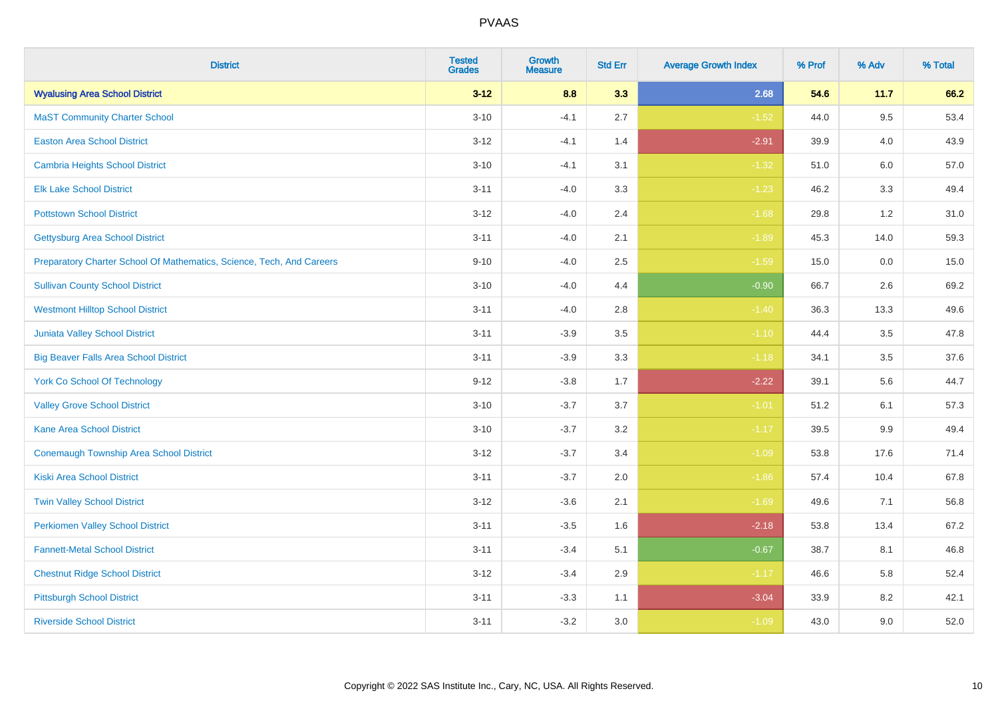| <b>District</b>                                                       | <b>Tested</b><br><b>Grades</b> | <b>Growth</b><br><b>Measure</b> | <b>Std Err</b> | <b>Average Growth Index</b> | % Prof | % Adv   | % Total |
|-----------------------------------------------------------------------|--------------------------------|---------------------------------|----------------|-----------------------------|--------|---------|---------|
| <b>Wyalusing Area School District</b>                                 | $3 - 12$                       | 8.8                             | 3.3            | 2.68                        | 54.6   | 11.7    | 66.2    |
| <b>MaST Community Charter School</b>                                  | $3 - 10$                       | $-4.1$                          | 2.7            | $-1.52$                     | 44.0   | 9.5     | 53.4    |
| <b>Easton Area School District</b>                                    | $3 - 12$                       | $-4.1$                          | 1.4            | $-2.91$                     | 39.9   | 4.0     | 43.9    |
| <b>Cambria Heights School District</b>                                | $3 - 10$                       | $-4.1$                          | 3.1            | $-1.32$                     | 51.0   | $6.0\,$ | 57.0    |
| <b>Elk Lake School District</b>                                       | $3 - 11$                       | $-4.0$                          | 3.3            | $-1.23$                     | 46.2   | 3.3     | 49.4    |
| <b>Pottstown School District</b>                                      | $3-12$                         | $-4.0$                          | 2.4            | $-1.68$                     | 29.8   | 1.2     | 31.0    |
| <b>Gettysburg Area School District</b>                                | $3 - 11$                       | $-4.0$                          | 2.1            | $-1.89$                     | 45.3   | 14.0    | 59.3    |
| Preparatory Charter School Of Mathematics, Science, Tech, And Careers | $9 - 10$                       | $-4.0$                          | 2.5            | $-1.59$                     | 15.0   | 0.0     | 15.0    |
| <b>Sullivan County School District</b>                                | $3 - 10$                       | $-4.0$                          | 4.4            | $-0.90$                     | 66.7   | 2.6     | 69.2    |
| <b>Westmont Hilltop School District</b>                               | $3 - 11$                       | $-4.0$                          | 2.8            | $-1.40$                     | 36.3   | 13.3    | 49.6    |
| <b>Juniata Valley School District</b>                                 | $3 - 11$                       | $-3.9$                          | 3.5            | $-1.10$                     | 44.4   | 3.5     | 47.8    |
| <b>Big Beaver Falls Area School District</b>                          | $3 - 11$                       | $-3.9$                          | 3.3            | $-1.18$                     | 34.1   | 3.5     | 37.6    |
| <b>York Co School Of Technology</b>                                   | $9 - 12$                       | $-3.8$                          | 1.7            | $-2.22$                     | 39.1   | 5.6     | 44.7    |
| <b>Valley Grove School District</b>                                   | $3 - 10$                       | $-3.7$                          | 3.7            | $-1.01$                     | 51.2   | 6.1     | 57.3    |
| <b>Kane Area School District</b>                                      | $3 - 10$                       | $-3.7$                          | 3.2            | $-1.17$                     | 39.5   | 9.9     | 49.4    |
| <b>Conemaugh Township Area School District</b>                        | $3 - 12$                       | $-3.7$                          | 3.4            | $-1.09$                     | 53.8   | 17.6    | 71.4    |
| <b>Kiski Area School District</b>                                     | $3 - 11$                       | $-3.7$                          | 2.0            | $-1.86$                     | 57.4   | 10.4    | 67.8    |
| <b>Twin Valley School District</b>                                    | $3 - 12$                       | $-3.6$                          | 2.1            | $-1.69$                     | 49.6   | 7.1     | 56.8    |
| <b>Perkiomen Valley School District</b>                               | $3 - 11$                       | $-3.5$                          | 1.6            | $-2.18$                     | 53.8   | 13.4    | 67.2    |
| <b>Fannett-Metal School District</b>                                  | $3 - 11$                       | $-3.4$                          | 5.1            | $-0.67$                     | 38.7   | 8.1     | 46.8    |
| <b>Chestnut Ridge School District</b>                                 | $3 - 12$                       | $-3.4$                          | 2.9            | $-1.17$                     | 46.6   | 5.8     | 52.4    |
| <b>Pittsburgh School District</b>                                     | $3 - 11$                       | $-3.3$                          | 1.1            | $-3.04$                     | 33.9   | 8.2     | 42.1    |
| <b>Riverside School District</b>                                      | $3 - 11$                       | $-3.2$                          | 3.0            | $-1.09$                     | 43.0   | 9.0     | 52.0    |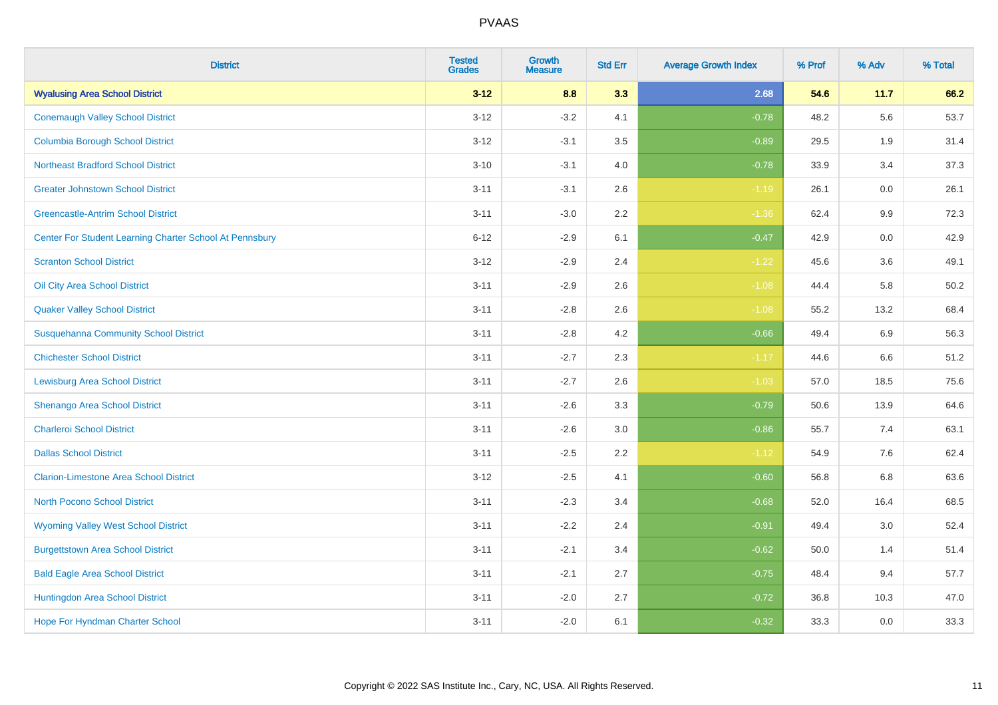| <b>District</b>                                         | <b>Tested</b><br><b>Grades</b> | <b>Growth</b><br><b>Measure</b> | <b>Std Err</b> | <b>Average Growth Index</b> | % Prof | % Adv | % Total |
|---------------------------------------------------------|--------------------------------|---------------------------------|----------------|-----------------------------|--------|-------|---------|
| <b>Wyalusing Area School District</b>                   | $3 - 12$                       | 8.8                             | 3.3            | 2.68                        | 54.6   | 11.7  | 66.2    |
| <b>Conemaugh Valley School District</b>                 | $3 - 12$                       | $-3.2$                          | 4.1            | $-0.78$                     | 48.2   | 5.6   | 53.7    |
| <b>Columbia Borough School District</b>                 | $3 - 12$                       | $-3.1$                          | 3.5            | $-0.89$                     | 29.5   | 1.9   | 31.4    |
| <b>Northeast Bradford School District</b>               | $3 - 10$                       | $-3.1$                          | 4.0            | $-0.78$                     | 33.9   | 3.4   | 37.3    |
| <b>Greater Johnstown School District</b>                | $3 - 11$                       | $-3.1$                          | 2.6            | $-1.19$                     | 26.1   | 0.0   | 26.1    |
| <b>Greencastle-Antrim School District</b>               | $3 - 11$                       | $-3.0$                          | 2.2            | $-1.36$                     | 62.4   | 9.9   | 72.3    |
| Center For Student Learning Charter School At Pennsbury | $6 - 12$                       | $-2.9$                          | 6.1            | $-0.47$                     | 42.9   | 0.0   | 42.9    |
| <b>Scranton School District</b>                         | $3 - 12$                       | $-2.9$                          | 2.4            | $-1.22$                     | 45.6   | 3.6   | 49.1    |
| Oil City Area School District                           | $3 - 11$                       | $-2.9$                          | 2.6            | $-1.08$                     | 44.4   | 5.8   | 50.2    |
| <b>Quaker Valley School District</b>                    | $3 - 11$                       | $-2.8$                          | 2.6            | $-1.08$                     | 55.2   | 13.2  | 68.4    |
| <b>Susquehanna Community School District</b>            | $3 - 11$                       | $-2.8$                          | 4.2            | $-0.66$                     | 49.4   | 6.9   | 56.3    |
| <b>Chichester School District</b>                       | $3 - 11$                       | $-2.7$                          | 2.3            | $-1.17$                     | 44.6   | 6.6   | 51.2    |
| <b>Lewisburg Area School District</b>                   | $3 - 11$                       | $-2.7$                          | 2.6            | $-1.03$                     | 57.0   | 18.5  | 75.6    |
| Shenango Area School District                           | $3 - 11$                       | $-2.6$                          | 3.3            | $-0.79$                     | 50.6   | 13.9  | 64.6    |
| <b>Charleroi School District</b>                        | $3 - 11$                       | $-2.6$                          | 3.0            | $-0.86$                     | 55.7   | 7.4   | 63.1    |
| <b>Dallas School District</b>                           | $3 - 11$                       | $-2.5$                          | 2.2            | $-1.12$                     | 54.9   | 7.6   | 62.4    |
| <b>Clarion-Limestone Area School District</b>           | $3-12$                         | $-2.5$                          | 4.1            | $-0.60$                     | 56.8   | 6.8   | 63.6    |
| North Pocono School District                            | $3 - 11$                       | $-2.3$                          | 3.4            | $-0.68$                     | 52.0   | 16.4  | 68.5    |
| <b>Wyoming Valley West School District</b>              | $3 - 11$                       | $-2.2$                          | 2.4            | $-0.91$                     | 49.4   | 3.0   | 52.4    |
| <b>Burgettstown Area School District</b>                | $3 - 11$                       | $-2.1$                          | 3.4            | $-0.62$                     | 50.0   | 1.4   | 51.4    |
| <b>Bald Eagle Area School District</b>                  | $3 - 11$                       | $-2.1$                          | 2.7            | $-0.75$                     | 48.4   | 9.4   | 57.7    |
| Huntingdon Area School District                         | $3 - 11$                       | $-2.0$                          | 2.7            | $-0.72$                     | 36.8   | 10.3  | 47.0    |
| Hope For Hyndman Charter School                         | $3 - 11$                       | $-2.0$                          | 6.1            | $-0.32$                     | 33.3   | 0.0   | 33.3    |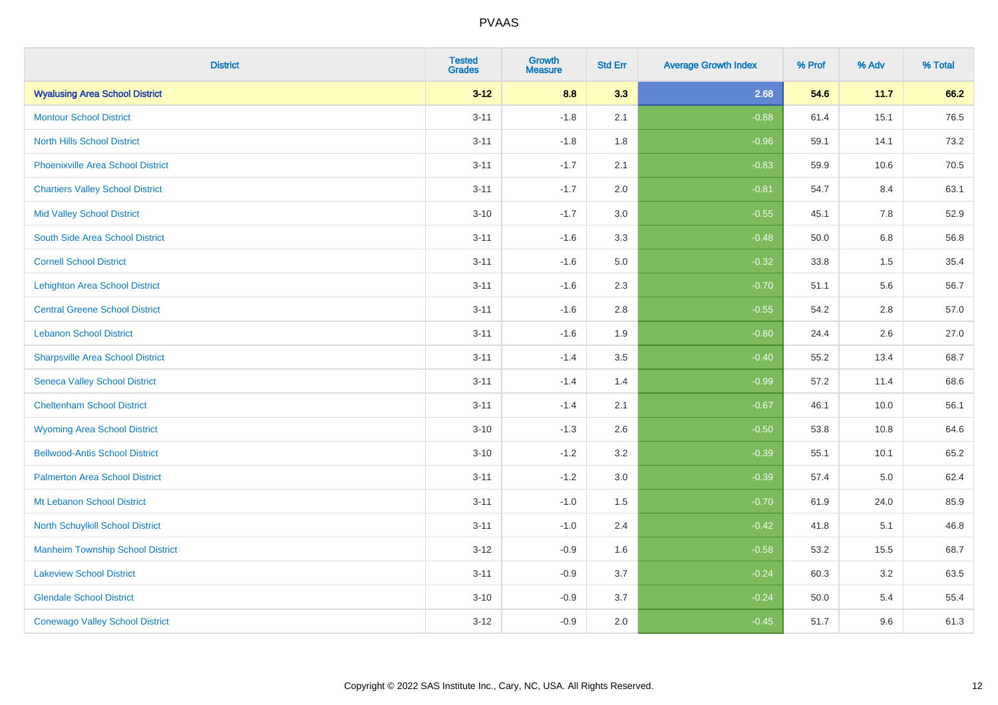| <b>District</b>                          | <b>Tested</b><br><b>Grades</b> | <b>Growth</b><br><b>Measure</b> | <b>Std Err</b> | <b>Average Growth Index</b> | % Prof | % Adv   | % Total |
|------------------------------------------|--------------------------------|---------------------------------|----------------|-----------------------------|--------|---------|---------|
| <b>Wyalusing Area School District</b>    | $3 - 12$                       | 8.8                             | 3.3            | 2.68                        | 54.6   | 11.7    | 66.2    |
| <b>Montour School District</b>           | $3 - 11$                       | $-1.8$                          | 2.1            | $-0.88$                     | 61.4   | 15.1    | 76.5    |
| <b>North Hills School District</b>       | $3 - 11$                       | $-1.8$                          | 1.8            | $-0.96$                     | 59.1   | 14.1    | 73.2    |
| <b>Phoenixville Area School District</b> | $3 - 11$                       | $-1.7$                          | 2.1            | $-0.83$                     | 59.9   | 10.6    | 70.5    |
| <b>Chartiers Valley School District</b>  | $3 - 11$                       | $-1.7$                          | 2.0            | $-0.81$                     | 54.7   | 8.4     | 63.1    |
| <b>Mid Valley School District</b>        | $3 - 10$                       | $-1.7$                          | 3.0            | $-0.55$                     | 45.1   | 7.8     | 52.9    |
| South Side Area School District          | $3 - 11$                       | $-1.6$                          | 3.3            | $-0.48$                     | 50.0   | $6.8\,$ | 56.8    |
| <b>Cornell School District</b>           | $3 - 11$                       | $-1.6$                          | 5.0            | $-0.32$                     | 33.8   | 1.5     | 35.4    |
| <b>Lehighton Area School District</b>    | $3 - 11$                       | $-1.6$                          | 2.3            | $-0.70$                     | 51.1   | 5.6     | 56.7    |
| <b>Central Greene School District</b>    | $3 - 11$                       | $-1.6$                          | 2.8            | $-0.55$                     | 54.2   | 2.8     | 57.0    |
| <b>Lebanon School District</b>           | $3 - 11$                       | $-1.6$                          | 1.9            | $-0.80$                     | 24.4   | 2.6     | 27.0    |
| <b>Sharpsville Area School District</b>  | $3 - 11$                       | $-1.4$                          | 3.5            | $-0.40$                     | 55.2   | 13.4    | 68.7    |
| <b>Seneca Valley School District</b>     | $3 - 11$                       | $-1.4$                          | 1.4            | $-0.99$                     | 57.2   | 11.4    | 68.6    |
| <b>Cheltenham School District</b>        | $3 - 11$                       | $-1.4$                          | 2.1            | $-0.67$                     | 46.1   | 10.0    | 56.1    |
| <b>Wyoming Area School District</b>      | $3 - 10$                       | $-1.3$                          | 2.6            | $-0.50$                     | 53.8   | 10.8    | 64.6    |
| <b>Bellwood-Antis School District</b>    | $3 - 10$                       | $-1.2$                          | 3.2            | $-0.39$                     | 55.1   | 10.1    | 65.2    |
| <b>Palmerton Area School District</b>    | $3 - 11$                       | $-1.2$                          | 3.0            | $-0.39$                     | 57.4   | 5.0     | 62.4    |
| Mt Lebanon School District               | $3 - 11$                       | $-1.0$                          | 1.5            | $-0.70$                     | 61.9   | 24.0    | 85.9    |
| <b>North Schuylkill School District</b>  | $3 - 11$                       | $-1.0$                          | 2.4            | $-0.42$                     | 41.8   | 5.1     | 46.8    |
| <b>Manheim Township School District</b>  | $3 - 12$                       | $-0.9$                          | 1.6            | $-0.58$                     | 53.2   | 15.5    | 68.7    |
| <b>Lakeview School District</b>          | $3 - 11$                       | $-0.9$                          | 3.7            | $-0.24$                     | 60.3   | 3.2     | 63.5    |
| <b>Glendale School District</b>          | $3 - 10$                       | $-0.9$                          | 3.7            | $-0.24$                     | 50.0   | 5.4     | 55.4    |
| <b>Conewago Valley School District</b>   | $3-12$                         | $-0.9$                          | 2.0            | $-0.45$                     | 51.7   | 9.6     | 61.3    |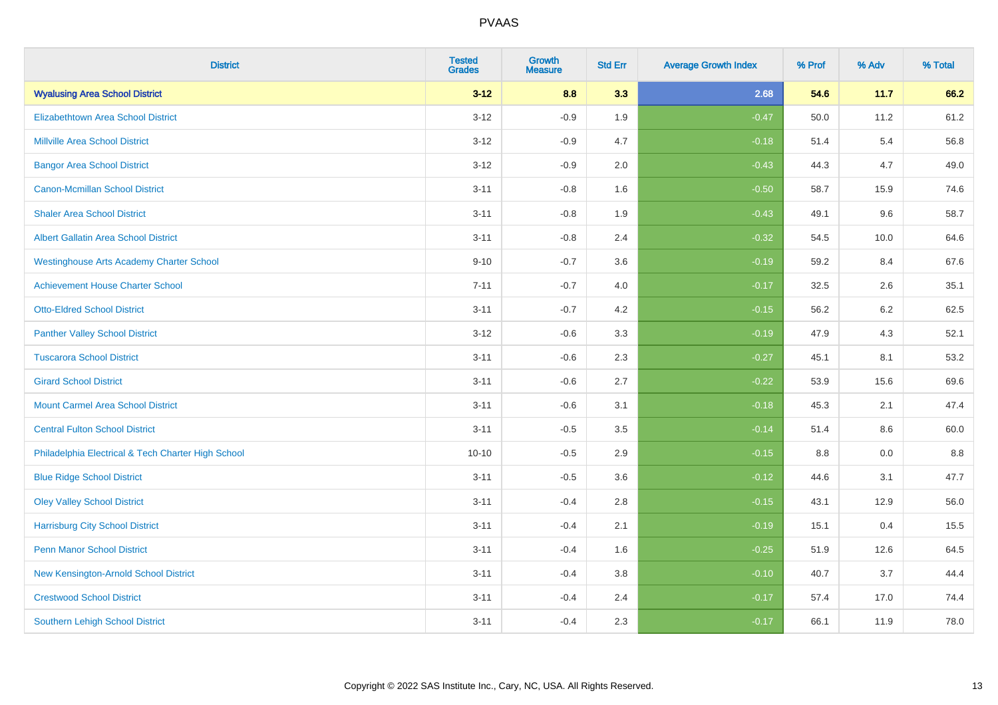| <b>District</b>                                    | <b>Tested</b><br><b>Grades</b> | <b>Growth</b><br><b>Measure</b> | <b>Std Err</b> | <b>Average Growth Index</b> | % Prof | % Adv   | % Total |
|----------------------------------------------------|--------------------------------|---------------------------------|----------------|-----------------------------|--------|---------|---------|
| <b>Wyalusing Area School District</b>              | $3 - 12$                       | 8.8                             | 3.3            | 2.68                        | 54.6   | 11.7    | 66.2    |
| <b>Elizabethtown Area School District</b>          | $3 - 12$                       | $-0.9$                          | 1.9            | $-0.47$                     | 50.0   | 11.2    | 61.2    |
| <b>Millville Area School District</b>              | $3 - 12$                       | $-0.9$                          | 4.7            | $-0.18$                     | 51.4   | 5.4     | 56.8    |
| <b>Bangor Area School District</b>                 | $3 - 12$                       | $-0.9$                          | 2.0            | $-0.43$                     | 44.3   | 4.7     | 49.0    |
| <b>Canon-Mcmillan School District</b>              | $3 - 11$                       | $-0.8$                          | 1.6            | $-0.50$                     | 58.7   | 15.9    | 74.6    |
| <b>Shaler Area School District</b>                 | $3 - 11$                       | $-0.8$                          | 1.9            | $-0.43$                     | 49.1   | 9.6     | 58.7    |
| <b>Albert Gallatin Area School District</b>        | $3 - 11$                       | $-0.8$                          | 2.4            | $-0.32$                     | 54.5   | 10.0    | 64.6    |
| <b>Westinghouse Arts Academy Charter School</b>    | $9 - 10$                       | $-0.7$                          | 3.6            | $-0.19$                     | 59.2   | 8.4     | 67.6    |
| <b>Achievement House Charter School</b>            | $7 - 11$                       | $-0.7$                          | 4.0            | $-0.17$                     | 32.5   | 2.6     | 35.1    |
| <b>Otto-Eldred School District</b>                 | $3 - 11$                       | $-0.7$                          | 4.2            | $-0.15$                     | 56.2   | 6.2     | 62.5    |
| <b>Panther Valley School District</b>              | $3 - 12$                       | $-0.6$                          | 3.3            | $-0.19$                     | 47.9   | 4.3     | 52.1    |
| <b>Tuscarora School District</b>                   | $3 - 11$                       | $-0.6$                          | 2.3            | $-0.27$                     | 45.1   | 8.1     | 53.2    |
| <b>Girard School District</b>                      | $3 - 11$                       | $-0.6$                          | 2.7            | $-0.22$                     | 53.9   | 15.6    | 69.6    |
| <b>Mount Carmel Area School District</b>           | $3 - 11$                       | $-0.6$                          | 3.1            | $-0.18$                     | 45.3   | 2.1     | 47.4    |
| <b>Central Fulton School District</b>              | $3 - 11$                       | $-0.5$                          | 3.5            | $-0.14$                     | 51.4   | 8.6     | 60.0    |
| Philadelphia Electrical & Tech Charter High School | $10 - 10$                      | $-0.5$                          | 2.9            | $-0.15$                     | 8.8    | $0.0\,$ | $8.8\,$ |
| <b>Blue Ridge School District</b>                  | $3 - 11$                       | $-0.5$                          | 3.6            | $-0.12$                     | 44.6   | 3.1     | 47.7    |
| <b>Oley Valley School District</b>                 | $3 - 11$                       | $-0.4$                          | 2.8            | $-0.15$                     | 43.1   | 12.9    | 56.0    |
| <b>Harrisburg City School District</b>             | $3 - 11$                       | $-0.4$                          | 2.1            | $-0.19$                     | 15.1   | 0.4     | 15.5    |
| <b>Penn Manor School District</b>                  | $3 - 11$                       | $-0.4$                          | 1.6            | $-0.25$                     | 51.9   | 12.6    | 64.5    |
| New Kensington-Arnold School District              | $3 - 11$                       | $-0.4$                          | 3.8            | $-0.10$                     | 40.7   | 3.7     | 44.4    |
| <b>Crestwood School District</b>                   | $3 - 11$                       | $-0.4$                          | 2.4            | $-0.17$                     | 57.4   | 17.0    | 74.4    |
| <b>Southern Lehigh School District</b>             | $3 - 11$                       | $-0.4$                          | 2.3            | $-0.17$                     | 66.1   | 11.9    | 78.0    |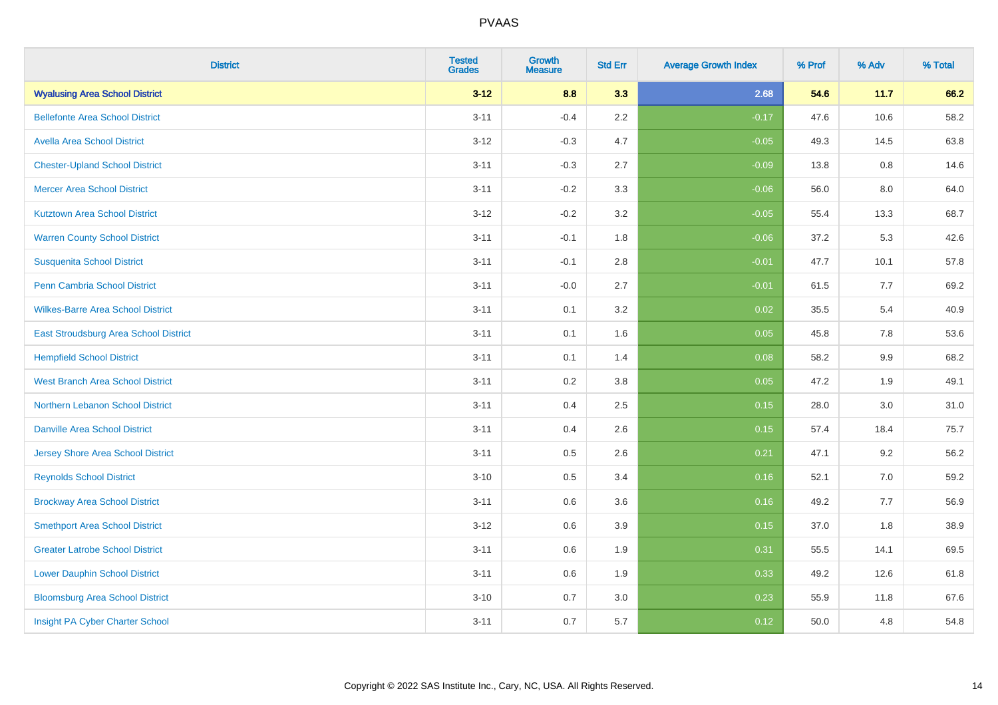| <b>District</b>                          | <b>Tested</b><br><b>Grades</b> | <b>Growth</b><br><b>Measure</b> | <b>Std Err</b> | <b>Average Growth Index</b> | % Prof | % Adv | % Total |
|------------------------------------------|--------------------------------|---------------------------------|----------------|-----------------------------|--------|-------|---------|
| <b>Wyalusing Area School District</b>    | $3 - 12$                       | 8.8                             | 3.3            | 2.68                        | 54.6   | 11.7  | 66.2    |
| <b>Bellefonte Area School District</b>   | $3 - 11$                       | $-0.4$                          | 2.2            | $-0.17$                     | 47.6   | 10.6  | 58.2    |
| <b>Avella Area School District</b>       | $3 - 12$                       | $-0.3$                          | 4.7            | $-0.05$                     | 49.3   | 14.5  | 63.8    |
| <b>Chester-Upland School District</b>    | $3 - 11$                       | $-0.3$                          | 2.7            | $-0.09$                     | 13.8   | 0.8   | 14.6    |
| <b>Mercer Area School District</b>       | $3 - 11$                       | $-0.2$                          | 3.3            | $-0.06$                     | 56.0   | 8.0   | 64.0    |
| <b>Kutztown Area School District</b>     | $3 - 12$                       | $-0.2$                          | 3.2            | $-0.05$                     | 55.4   | 13.3  | 68.7    |
| <b>Warren County School District</b>     | $3 - 11$                       | $-0.1$                          | 1.8            | $-0.06$                     | 37.2   | 5.3   | 42.6    |
| <b>Susquenita School District</b>        | $3 - 11$                       | $-0.1$                          | 2.8            | $-0.01$                     | 47.7   | 10.1  | 57.8    |
| Penn Cambria School District             | $3 - 11$                       | $-0.0$                          | 2.7            | $-0.01$                     | 61.5   | 7.7   | 69.2    |
| <b>Wilkes-Barre Area School District</b> | $3 - 11$                       | 0.1                             | 3.2            | 0.02                        | 35.5   | 5.4   | 40.9    |
| East Stroudsburg Area School District    | $3 - 11$                       | 0.1                             | 1.6            | 0.05                        | 45.8   | 7.8   | 53.6    |
| <b>Hempfield School District</b>         | $3 - 11$                       | 0.1                             | 1.4            | 0.08                        | 58.2   | 9.9   | 68.2    |
| <b>West Branch Area School District</b>  | $3 - 11$                       | $0.2\,$                         | 3.8            | 0.05                        | 47.2   | 1.9   | 49.1    |
| Northern Lebanon School District         | $3 - 11$                       | 0.4                             | 2.5            | 0.15                        | 28.0   | 3.0   | 31.0    |
| <b>Danville Area School District</b>     | $3 - 11$                       | 0.4                             | 2.6            | 0.15                        | 57.4   | 18.4  | 75.7    |
| <b>Jersey Shore Area School District</b> | $3 - 11$                       | 0.5                             | 2.6            | 0.21                        | 47.1   | 9.2   | 56.2    |
| <b>Reynolds School District</b>          | $3 - 10$                       | 0.5                             | 3.4            | 0.16                        | 52.1   | 7.0   | 59.2    |
| <b>Brockway Area School District</b>     | $3 - 11$                       | 0.6                             | 3.6            | 0.16                        | 49.2   | 7.7   | 56.9    |
| <b>Smethport Area School District</b>    | $3 - 12$                       | 0.6                             | 3.9            | 0.15                        | 37.0   | 1.8   | 38.9    |
| <b>Greater Latrobe School District</b>   | $3 - 11$                       | 0.6                             | 1.9            | 0.31                        | 55.5   | 14.1  | 69.5    |
| <b>Lower Dauphin School District</b>     | $3 - 11$                       | 0.6                             | 1.9            | 0.33                        | 49.2   | 12.6  | 61.8    |
| <b>Bloomsburg Area School District</b>   | $3 - 10$                       | 0.7                             | 3.0            | 0.23                        | 55.9   | 11.8  | 67.6    |
| Insight PA Cyber Charter School          | $3 - 11$                       | 0.7                             | 5.7            | 0.12                        | 50.0   | 4.8   | 54.8    |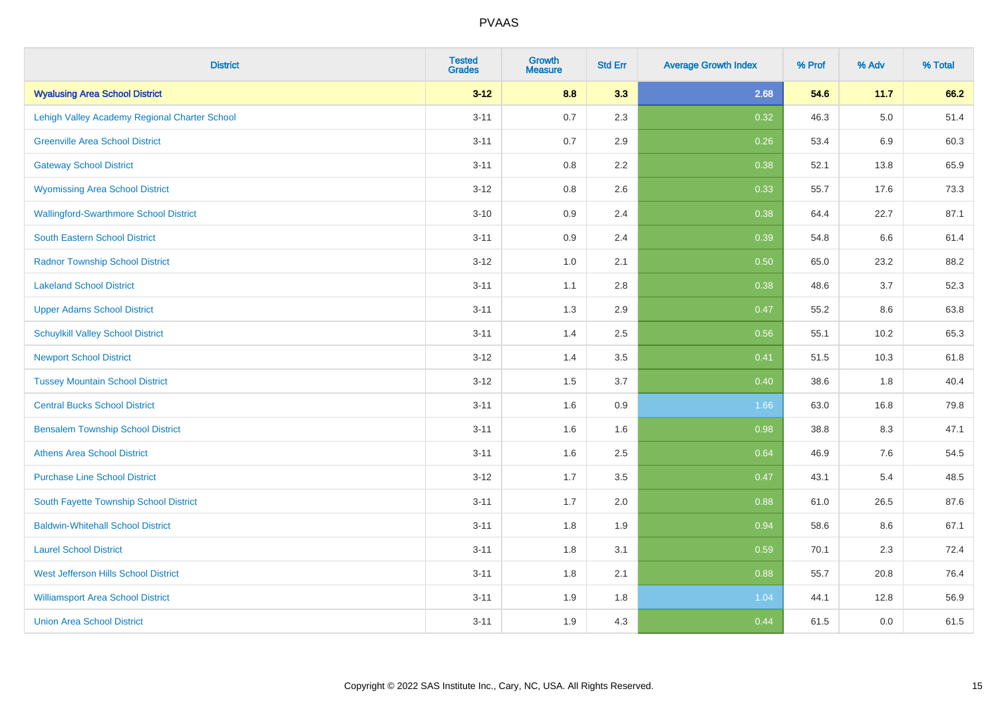| <b>District</b>                               | <b>Tested</b><br><b>Grades</b> | <b>Growth</b><br><b>Measure</b> | <b>Std Err</b> | <b>Average Growth Index</b> | % Prof | % Adv   | % Total |
|-----------------------------------------------|--------------------------------|---------------------------------|----------------|-----------------------------|--------|---------|---------|
| <b>Wyalusing Area School District</b>         | $3 - 12$                       | 8.8                             | 3.3            | 2.68                        | 54.6   | 11.7    | 66.2    |
| Lehigh Valley Academy Regional Charter School | $3 - 11$                       | 0.7                             | 2.3            | 0.32                        | 46.3   | $5.0\,$ | 51.4    |
| <b>Greenville Area School District</b>        | $3 - 11$                       | 0.7                             | 2.9            | 0.26                        | 53.4   | 6.9     | 60.3    |
| <b>Gateway School District</b>                | $3 - 11$                       | $0.8\,$                         | 2.2            | 0.38                        | 52.1   | 13.8    | 65.9    |
| <b>Wyomissing Area School District</b>        | $3 - 12$                       | 0.8                             | 2.6            | 0.33                        | 55.7   | 17.6    | 73.3    |
| <b>Wallingford-Swarthmore School District</b> | $3 - 10$                       | 0.9                             | 2.4            | 0.38                        | 64.4   | 22.7    | 87.1    |
| <b>South Eastern School District</b>          | $3 - 11$                       | 0.9                             | 2.4            | 0.39                        | 54.8   | 6.6     | 61.4    |
| <b>Radnor Township School District</b>        | $3 - 12$                       | 1.0                             | 2.1            | 0.50                        | 65.0   | 23.2    | 88.2    |
| <b>Lakeland School District</b>               | $3 - 11$                       | 1.1                             | 2.8            | 0.38                        | 48.6   | 3.7     | 52.3    |
| <b>Upper Adams School District</b>            | $3 - 11$                       | 1.3                             | 2.9            | 0.47                        | 55.2   | 8.6     | 63.8    |
| <b>Schuylkill Valley School District</b>      | $3 - 11$                       | 1.4                             | 2.5            | 0.56                        | 55.1   | 10.2    | 65.3    |
| <b>Newport School District</b>                | $3 - 12$                       | 1.4                             | 3.5            | 0.41                        | 51.5   | 10.3    | 61.8    |
| <b>Tussey Mountain School District</b>        | $3 - 12$                       | 1.5                             | 3.7            | 0.40                        | 38.6   | 1.8     | 40.4    |
| <b>Central Bucks School District</b>          | $3 - 11$                       | 1.6                             | 0.9            | 1.66                        | 63.0   | 16.8    | 79.8    |
| <b>Bensalem Township School District</b>      | $3 - 11$                       | 1.6                             | 1.6            | 0.98                        | 38.8   | 8.3     | 47.1    |
| <b>Athens Area School District</b>            | $3 - 11$                       | 1.6                             | 2.5            | 0.64                        | 46.9   | 7.6     | 54.5    |
| <b>Purchase Line School District</b>          | $3 - 12$                       | 1.7                             | 3.5            | 0.47                        | 43.1   | 5.4     | 48.5    |
| South Fayette Township School District        | $3 - 11$                       | 1.7                             | 2.0            | 0.88                        | 61.0   | 26.5    | 87.6    |
| <b>Baldwin-Whitehall School District</b>      | $3 - 11$                       | 1.8                             | 1.9            | 0.94                        | 58.6   | 8.6     | 67.1    |
| <b>Laurel School District</b>                 | $3 - 11$                       | 1.8                             | 3.1            | 0.59                        | 70.1   | 2.3     | 72.4    |
| <b>West Jefferson Hills School District</b>   | $3 - 11$                       | 1.8                             | 2.1            | 0.88                        | 55.7   | 20.8    | 76.4    |
| <b>Williamsport Area School District</b>      | $3 - 11$                       | 1.9                             | 1.8            | 1.04                        | 44.1   | 12.8    | 56.9    |
| <b>Union Area School District</b>             | $3 - 11$                       | 1.9                             | 4.3            | 0.44                        | 61.5   | 0.0     | 61.5    |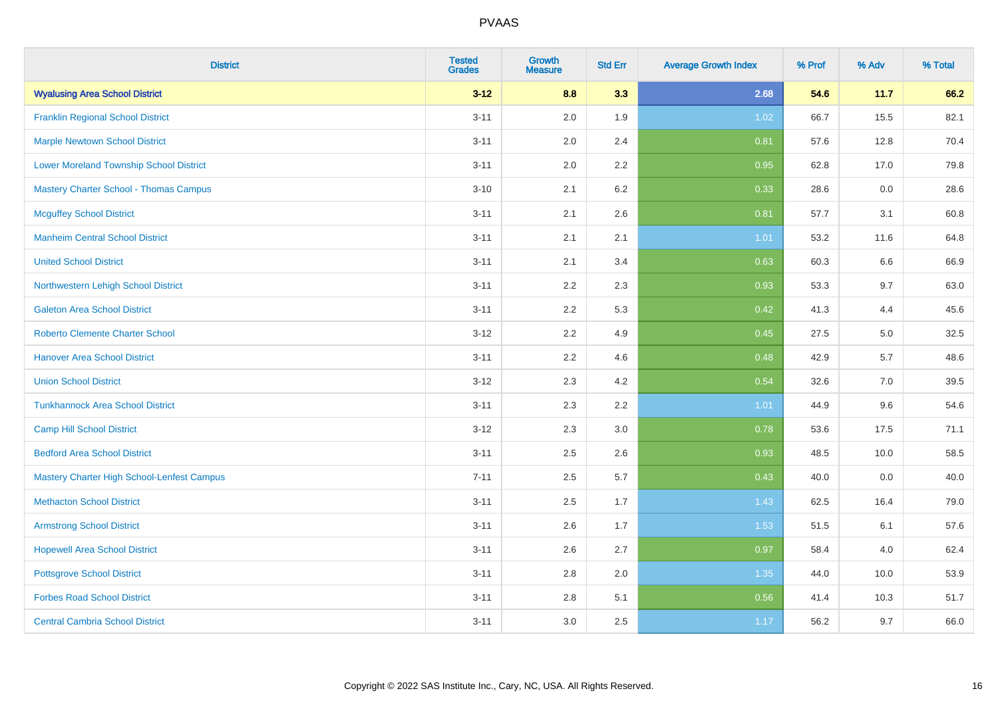| <b>District</b>                                | <b>Tested</b><br><b>Grades</b> | <b>Growth</b><br><b>Measure</b> | <b>Std Err</b> | <b>Average Growth Index</b> | % Prof | % Adv | % Total |
|------------------------------------------------|--------------------------------|---------------------------------|----------------|-----------------------------|--------|-------|---------|
| <b>Wyalusing Area School District</b>          | $3 - 12$                       | 8.8                             | 3.3            | 2.68                        | 54.6   | 11.7  | 66.2    |
| <b>Franklin Regional School District</b>       | $3 - 11$                       | 2.0                             | 1.9            | 1.02                        | 66.7   | 15.5  | 82.1    |
| <b>Marple Newtown School District</b>          | $3 - 11$                       | 2.0                             | 2.4            | 0.81                        | 57.6   | 12.8  | 70.4    |
| <b>Lower Moreland Township School District</b> | $3 - 11$                       | 2.0                             | 2.2            | 0.95                        | 62.8   | 17.0  | 79.8    |
| <b>Mastery Charter School - Thomas Campus</b>  | $3 - 10$                       | 2.1                             | 6.2            | 0.33                        | 28.6   | 0.0   | 28.6    |
| <b>Mcguffey School District</b>                | $3 - 11$                       | 2.1                             | 2.6            | 0.81                        | 57.7   | 3.1   | 60.8    |
| <b>Manheim Central School District</b>         | $3 - 11$                       | 2.1                             | 2.1            | 1.01                        | 53.2   | 11.6  | 64.8    |
| <b>United School District</b>                  | $3 - 11$                       | 2.1                             | 3.4            | 0.63                        | 60.3   | 6.6   | 66.9    |
| Northwestern Lehigh School District            | $3 - 11$                       | 2.2                             | 2.3            | 0.93                        | 53.3   | 9.7   | 63.0    |
| <b>Galeton Area School District</b>            | $3 - 11$                       | 2.2                             | 5.3            | 0.42                        | 41.3   | 4.4   | 45.6    |
| <b>Roberto Clemente Charter School</b>         | $3 - 12$                       | 2.2                             | 4.9            | 0.45                        | 27.5   | 5.0   | 32.5    |
| <b>Hanover Area School District</b>            | $3 - 11$                       | 2.2                             | 4.6            | 0.48                        | 42.9   | 5.7   | 48.6    |
| <b>Union School District</b>                   | $3 - 12$                       | 2.3                             | 4.2            | 0.54                        | 32.6   | 7.0   | 39.5    |
| <b>Tunkhannock Area School District</b>        | $3 - 11$                       | 2.3                             | 2.2            | 1.01                        | 44.9   | 9.6   | 54.6    |
| <b>Camp Hill School District</b>               | $3 - 12$                       | 2.3                             | 3.0            | 0.78                        | 53.6   | 17.5  | 71.1    |
| <b>Bedford Area School District</b>            | $3 - 11$                       | 2.5                             | 2.6            | 0.93                        | 48.5   | 10.0  | 58.5    |
| Mastery Charter High School-Lenfest Campus     | $7 - 11$                       | 2.5                             | 5.7            | 0.43                        | 40.0   | 0.0   | 40.0    |
| <b>Methacton School District</b>               | $3 - 11$                       | 2.5                             | 1.7            | 1.43                        | 62.5   | 16.4  | 79.0    |
| <b>Armstrong School District</b>               | $3 - 11$                       | 2.6                             | 1.7            | 1.53                        | 51.5   | 6.1   | 57.6    |
| <b>Hopewell Area School District</b>           | $3 - 11$                       | 2.6                             | 2.7            | 0.97                        | 58.4   | 4.0   | 62.4    |
| <b>Pottsgrove School District</b>              | $3 - 11$                       | 2.8                             | 2.0            | 1.35                        | 44.0   | 10.0  | 53.9    |
| <b>Forbes Road School District</b>             | $3 - 11$                       | $2.8\,$                         | 5.1            | 0.56                        | 41.4   | 10.3  | 51.7    |
| <b>Central Cambria School District</b>         | $3 - 11$                       | 3.0                             | 2.5            | 1.17                        | 56.2   | 9.7   | 66.0    |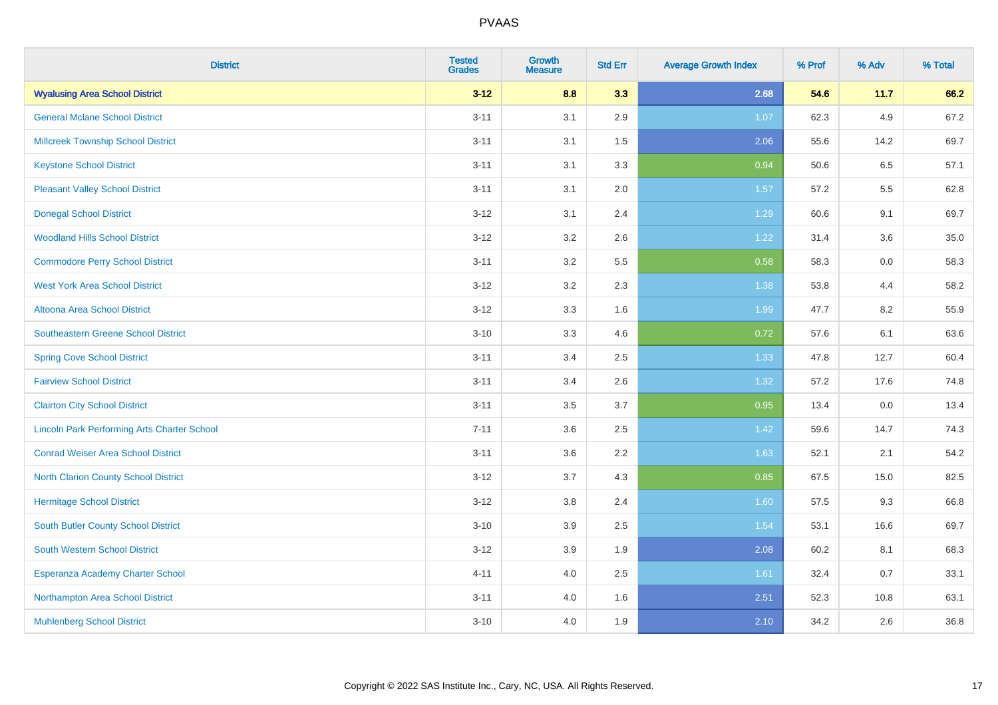| <b>District</b>                                    | <b>Tested</b><br><b>Grades</b> | <b>Growth</b><br><b>Measure</b> | <b>Std Err</b> | <b>Average Growth Index</b> | % Prof | % Adv | % Total |
|----------------------------------------------------|--------------------------------|---------------------------------|----------------|-----------------------------|--------|-------|---------|
| <b>Wyalusing Area School District</b>              | $3 - 12$                       | 8.8                             | 3.3            | 2.68                        | 54.6   | 11.7  | 66.2    |
| <b>General Mclane School District</b>              | $3 - 11$                       | 3.1                             | 2.9            | 1.07                        | 62.3   | 4.9   | 67.2    |
| <b>Millcreek Township School District</b>          | $3 - 11$                       | 3.1                             | 1.5            | 2.06                        | 55.6   | 14.2  | 69.7    |
| <b>Keystone School District</b>                    | $3 - 11$                       | 3.1                             | 3.3            | 0.94                        | 50.6   | 6.5   | 57.1    |
| <b>Pleasant Valley School District</b>             | $3 - 11$                       | 3.1                             | 2.0            | 1.57                        | 57.2   | 5.5   | 62.8    |
| <b>Donegal School District</b>                     | $3 - 12$                       | 3.1                             | 2.4            | 1.29                        | 60.6   | 9.1   | 69.7    |
| <b>Woodland Hills School District</b>              | $3 - 12$                       | 3.2                             | 2.6            | 1.22                        | 31.4   | 3.6   | 35.0    |
| <b>Commodore Perry School District</b>             | $3 - 11$                       | 3.2                             | 5.5            | 0.58                        | 58.3   | 0.0   | 58.3    |
| <b>West York Area School District</b>              | $3 - 12$                       | 3.2                             | 2.3            | 1.38                        | 53.8   | 4.4   | 58.2    |
| Altoona Area School District                       | $3 - 12$                       | 3.3                             | 1.6            | 1.99                        | 47.7   | 8.2   | 55.9    |
| <b>Southeastern Greene School District</b>         | $3 - 10$                       | 3.3                             | 4.6            | 0.72                        | 57.6   | 6.1   | 63.6    |
| <b>Spring Cove School District</b>                 | $3 - 11$                       | 3.4                             | 2.5            | 1.33                        | 47.8   | 12.7  | 60.4    |
| <b>Fairview School District</b>                    | $3 - 11$                       | 3.4                             | 2.6            | 1.32                        | 57.2   | 17.6  | 74.8    |
| <b>Clairton City School District</b>               | $3 - 11$                       | 3.5                             | 3.7            | 0.95                        | 13.4   | 0.0   | 13.4    |
| <b>Lincoln Park Performing Arts Charter School</b> | $7 - 11$                       | 3.6                             | 2.5            | 1.42                        | 59.6   | 14.7  | 74.3    |
| <b>Conrad Weiser Area School District</b>          | $3 - 11$                       | 3.6                             | 2.2            | 1.63                        | 52.1   | 2.1   | 54.2    |
| North Clarion County School District               | $3 - 12$                       | 3.7                             | 4.3            | 0.85                        | 67.5   | 15.0  | 82.5    |
| <b>Hermitage School District</b>                   | $3 - 12$                       | 3.8                             | 2.4            | 1.60                        | 57.5   | 9.3   | 66.8    |
| <b>South Butler County School District</b>         | $3 - 10$                       | 3.9                             | 2.5            | 1.54                        | 53.1   | 16.6  | 69.7    |
| South Western School District                      | $3 - 12$                       | 3.9                             | 1.9            | 2.08                        | 60.2   | 8.1   | 68.3    |
| Esperanza Academy Charter School                   | $4 - 11$                       | 4.0                             | 2.5            | 1.61                        | 32.4   | 0.7   | 33.1    |
| Northampton Area School District                   | $3 - 11$                       | 4.0                             | 1.6            | 2.51                        | 52.3   | 10.8  | 63.1    |
| <b>Muhlenberg School District</b>                  | $3 - 10$                       | 4.0                             | 1.9            | 2.10                        | 34.2   | 2.6   | 36.8    |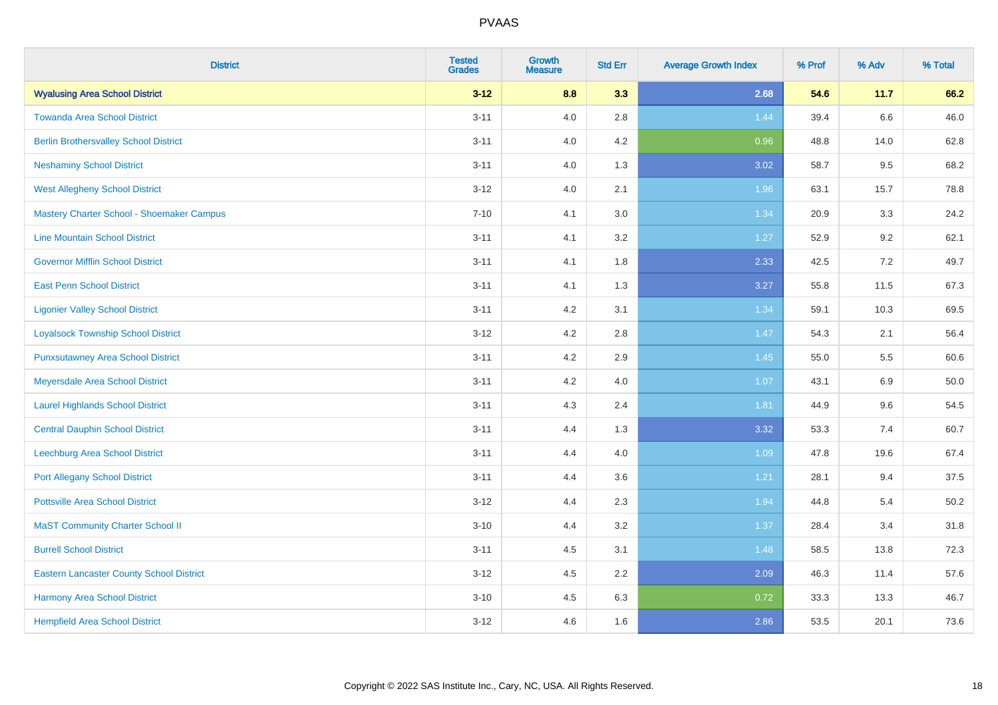| <b>District</b>                                 | <b>Tested</b><br><b>Grades</b> | <b>Growth</b><br><b>Measure</b> | <b>Std Err</b> | <b>Average Growth Index</b> | % Prof | % Adv | % Total |
|-------------------------------------------------|--------------------------------|---------------------------------|----------------|-----------------------------|--------|-------|---------|
| <b>Wyalusing Area School District</b>           | $3 - 12$                       | 8.8                             | 3.3            | 2.68                        | 54.6   | 11.7  | 66.2    |
| <b>Towanda Area School District</b>             | $3 - 11$                       | 4.0                             | 2.8            | 1.44                        | 39.4   | 6.6   | 46.0    |
| <b>Berlin Brothersvalley School District</b>    | $3 - 11$                       | 4.0                             | 4.2            | 0.96                        | 48.8   | 14.0  | 62.8    |
| <b>Neshaminy School District</b>                | $3 - 11$                       | 4.0                             | 1.3            | 3.02                        | 58.7   | 9.5   | 68.2    |
| <b>West Allegheny School District</b>           | $3-12$                         | 4.0                             | 2.1            | 1.96                        | 63.1   | 15.7  | 78.8    |
| Mastery Charter School - Shoemaker Campus       | $7 - 10$                       | 4.1                             | $3.0\,$        | 1.34                        | 20.9   | 3.3   | 24.2    |
| <b>Line Mountain School District</b>            | $3 - 11$                       | 4.1                             | 3.2            | 1.27                        | 52.9   | 9.2   | 62.1    |
| <b>Governor Mifflin School District</b>         | $3 - 11$                       | 4.1                             | 1.8            | 2.33                        | 42.5   | 7.2   | 49.7    |
| <b>East Penn School District</b>                | $3 - 11$                       | 4.1                             | 1.3            | 3.27                        | 55.8   | 11.5  | 67.3    |
| <b>Ligonier Valley School District</b>          | $3 - 11$                       | 4.2                             | 3.1            | 1.34                        | 59.1   | 10.3  | 69.5    |
| <b>Loyalsock Township School District</b>       | $3 - 12$                       | 4.2                             | 2.8            | 1.47                        | 54.3   | 2.1   | 56.4    |
| <b>Punxsutawney Area School District</b>        | $3 - 11$                       | 4.2                             | 2.9            | 1.45                        | 55.0   | 5.5   | 60.6    |
| Meyersdale Area School District                 | $3 - 11$                       | 4.2                             | 4.0            | 1.07                        | 43.1   | 6.9   | 50.0    |
| <b>Laurel Highlands School District</b>         | $3 - 11$                       | 4.3                             | 2.4            | 1.81                        | 44.9   | 9.6   | 54.5    |
| <b>Central Dauphin School District</b>          | $3 - 11$                       | 4.4                             | 1.3            | 3.32                        | 53.3   | 7.4   | 60.7    |
| <b>Leechburg Area School District</b>           | $3 - 11$                       | 4.4                             | 4.0            | 1.09                        | 47.8   | 19.6  | 67.4    |
| <b>Port Allegany School District</b>            | $3 - 11$                       | 4.4                             | 3.6            | 1.21                        | 28.1   | 9.4   | 37.5    |
| <b>Pottsville Area School District</b>          | $3 - 12$                       | 4.4                             | 2.3            | 1.94                        | 44.8   | 5.4   | 50.2    |
| <b>MaST Community Charter School II</b>         | $3 - 10$                       | 4.4                             | 3.2            | 1.37                        | 28.4   | 3.4   | 31.8    |
| <b>Burrell School District</b>                  | $3 - 11$                       | 4.5                             | 3.1            | 1.48                        | 58.5   | 13.8  | 72.3    |
| <b>Eastern Lancaster County School District</b> | $3 - 12$                       | 4.5                             | 2.2            | 2.09                        | 46.3   | 11.4  | 57.6    |
| <b>Harmony Area School District</b>             | $3 - 10$                       | 4.5                             | 6.3            | 0.72                        | 33.3   | 13.3  | 46.7    |
| <b>Hempfield Area School District</b>           | $3-12$                         | 4.6                             | 1.6            | 2.86                        | 53.5   | 20.1  | 73.6    |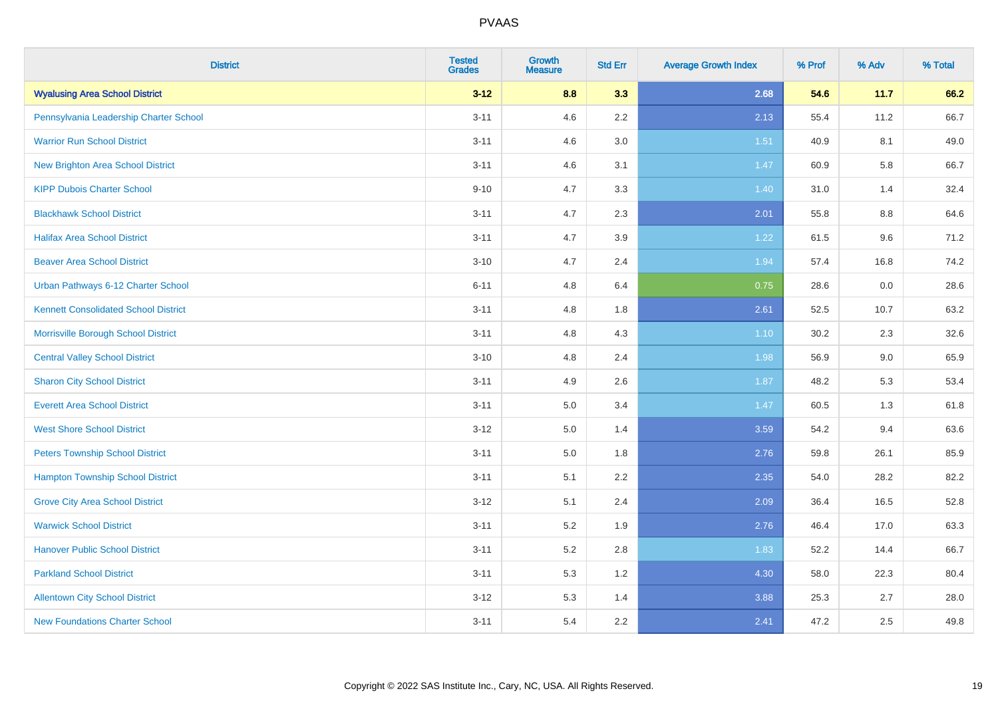| <b>District</b>                             | <b>Tested</b><br><b>Grades</b> | <b>Growth</b><br><b>Measure</b> | <b>Std Err</b> | <b>Average Growth Index</b> | % Prof | % Adv   | % Total |
|---------------------------------------------|--------------------------------|---------------------------------|----------------|-----------------------------|--------|---------|---------|
| <b>Wyalusing Area School District</b>       | $3 - 12$                       | 8.8                             | 3.3            | 2.68                        | 54.6   | 11.7    | 66.2    |
| Pennsylvania Leadership Charter School      | $3 - 11$                       | 4.6                             | 2.2            | 2.13                        | 55.4   | 11.2    | 66.7    |
| <b>Warrior Run School District</b>          | $3 - 11$                       | 4.6                             | 3.0            | 1.51                        | 40.9   | 8.1     | 49.0    |
| <b>New Brighton Area School District</b>    | $3 - 11$                       | 4.6                             | 3.1            | 1.47                        | 60.9   | 5.8     | 66.7    |
| <b>KIPP Dubois Charter School</b>           | $9 - 10$                       | 4.7                             | 3.3            | 1.40                        | 31.0   | 1.4     | 32.4    |
| <b>Blackhawk School District</b>            | $3 - 11$                       | 4.7                             | 2.3            | 2.01                        | 55.8   | $8.8\,$ | 64.6    |
| <b>Halifax Area School District</b>         | $3 - 11$                       | 4.7                             | 3.9            | 1.22                        | 61.5   | 9.6     | 71.2    |
| <b>Beaver Area School District</b>          | $3 - 10$                       | 4.7                             | 2.4            | 1.94                        | 57.4   | 16.8    | 74.2    |
| Urban Pathways 6-12 Charter School          | $6 - 11$                       | 4.8                             | 6.4            | 0.75                        | 28.6   | 0.0     | 28.6    |
| <b>Kennett Consolidated School District</b> | $3 - 11$                       | 4.8                             | 1.8            | 2.61                        | 52.5   | 10.7    | 63.2    |
| Morrisville Borough School District         | $3 - 11$                       | 4.8                             | 4.3            | 1.10                        | 30.2   | 2.3     | 32.6    |
| <b>Central Valley School District</b>       | $3 - 10$                       | 4.8                             | 2.4            | 1.98                        | 56.9   | 9.0     | 65.9    |
| <b>Sharon City School District</b>          | $3 - 11$                       | 4.9                             | 2.6            | 1.87                        | 48.2   | 5.3     | 53.4    |
| <b>Everett Area School District</b>         | $3 - 11$                       | 5.0                             | 3.4            | 1.47                        | 60.5   | 1.3     | 61.8    |
| <b>West Shore School District</b>           | $3 - 12$                       | 5.0                             | 1.4            | 3.59                        | 54.2   | 9.4     | 63.6    |
| <b>Peters Township School District</b>      | $3 - 11$                       | 5.0                             | 1.8            | 2.76                        | 59.8   | 26.1    | 85.9    |
| <b>Hampton Township School District</b>     | $3 - 11$                       | 5.1                             | 2.2            | 2.35                        | 54.0   | 28.2    | 82.2    |
| <b>Grove City Area School District</b>      | $3 - 12$                       | 5.1                             | 2.4            | 2.09                        | 36.4   | 16.5    | 52.8    |
| <b>Warwick School District</b>              | $3 - 11$                       | 5.2                             | 1.9            | 2.76                        | 46.4   | 17.0    | 63.3    |
| <b>Hanover Public School District</b>       | $3 - 11$                       | 5.2                             | $2.8\,$        | 1.83                        | 52.2   | 14.4    | 66.7    |
| <b>Parkland School District</b>             | $3 - 11$                       | 5.3                             | 1.2            | 4.30                        | 58.0   | 22.3    | 80.4    |
| <b>Allentown City School District</b>       | $3 - 12$                       | 5.3                             | 1.4            | 3.88                        | 25.3   | 2.7     | 28.0    |
| <b>New Foundations Charter School</b>       | $3 - 11$                       | 5.4                             | 2.2            | 2.41                        | 47.2   | 2.5     | 49.8    |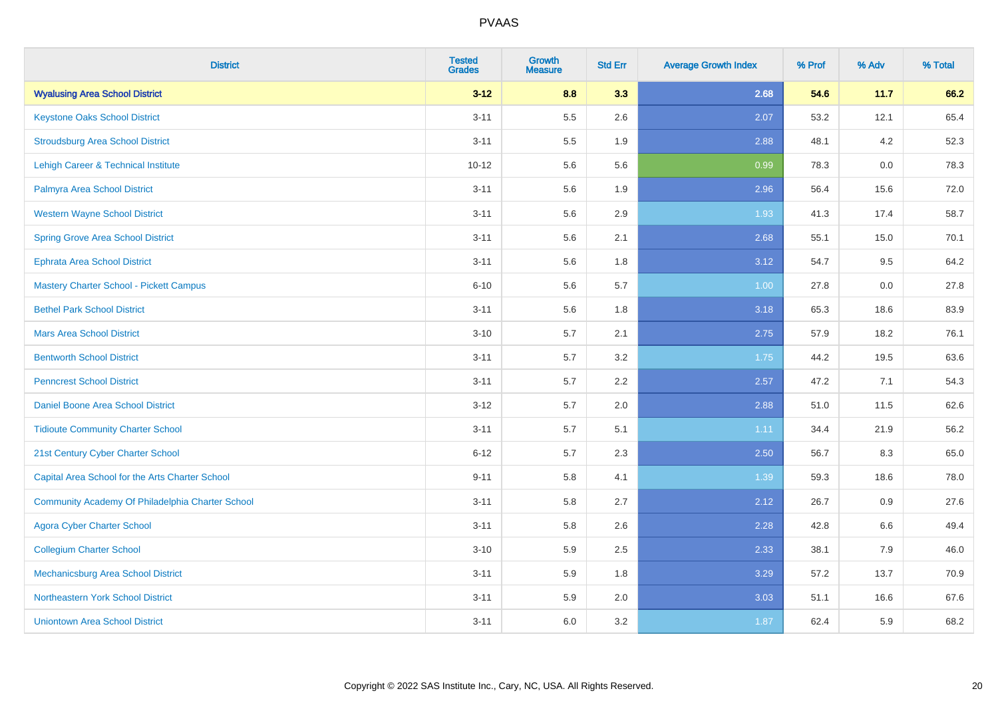| <b>District</b>                                  | <b>Tested</b><br><b>Grades</b> | <b>Growth</b><br><b>Measure</b> | <b>Std Err</b> | <b>Average Growth Index</b> | % Prof | % Adv | % Total |
|--------------------------------------------------|--------------------------------|---------------------------------|----------------|-----------------------------|--------|-------|---------|
| <b>Wyalusing Area School District</b>            | $3 - 12$                       | 8.8                             | 3.3            | 2.68                        | 54.6   | 11.7  | 66.2    |
| <b>Keystone Oaks School District</b>             | $3 - 11$                       | 5.5                             | 2.6            | 2.07                        | 53.2   | 12.1  | 65.4    |
| <b>Stroudsburg Area School District</b>          | $3 - 11$                       | 5.5                             | 1.9            | 2.88                        | 48.1   | 4.2   | 52.3    |
| Lehigh Career & Technical Institute              | $10 - 12$                      | 5.6                             | 5.6            | 0.99                        | 78.3   | 0.0   | 78.3    |
| Palmyra Area School District                     | $3 - 11$                       | 5.6                             | 1.9            | 2.96                        | 56.4   | 15.6  | 72.0    |
| <b>Western Wayne School District</b>             | $3 - 11$                       | 5.6                             | 2.9            | 1.93                        | 41.3   | 17.4  | 58.7    |
| <b>Spring Grove Area School District</b>         | $3 - 11$                       | 5.6                             | 2.1            | 2.68                        | 55.1   | 15.0  | 70.1    |
| <b>Ephrata Area School District</b>              | $3 - 11$                       | 5.6                             | 1.8            | 3.12                        | 54.7   | 9.5   | 64.2    |
| Mastery Charter School - Pickett Campus          | $6 - 10$                       | 5.6                             | 5.7            | 1.00                        | 27.8   | 0.0   | 27.8    |
| <b>Bethel Park School District</b>               | $3 - 11$                       | 5.6                             | 1.8            | 3.18                        | 65.3   | 18.6  | 83.9    |
| <b>Mars Area School District</b>                 | $3 - 10$                       | 5.7                             | 2.1            | 2.75                        | 57.9   | 18.2  | 76.1    |
| <b>Bentworth School District</b>                 | $3 - 11$                       | 5.7                             | 3.2            | 1.75                        | 44.2   | 19.5  | 63.6    |
| <b>Penncrest School District</b>                 | $3 - 11$                       | 5.7                             | 2.2            | 2.57                        | 47.2   | 7.1   | 54.3    |
| Daniel Boone Area School District                | $3-12$                         | 5.7                             | 2.0            | 2.88                        | 51.0   | 11.5  | 62.6    |
| <b>Tidioute Community Charter School</b>         | $3 - 11$                       | 5.7                             | 5.1            | 1.11                        | 34.4   | 21.9  | 56.2    |
| 21st Century Cyber Charter School                | $6 - 12$                       | 5.7                             | 2.3            | 2.50                        | 56.7   | 8.3   | 65.0    |
| Capital Area School for the Arts Charter School  | $9 - 11$                       | 5.8                             | 4.1            | 1.39                        | 59.3   | 18.6  | 78.0    |
| Community Academy Of Philadelphia Charter School | $3 - 11$                       | 5.8                             | 2.7            | 2.12                        | 26.7   | 0.9   | 27.6    |
| <b>Agora Cyber Charter School</b>                | $3 - 11$                       | 5.8                             | 2.6            | 2.28                        | 42.8   | 6.6   | 49.4    |
| <b>Collegium Charter School</b>                  | $3 - 10$                       | 5.9                             | 2.5            | 2.33                        | 38.1   | 7.9   | 46.0    |
| Mechanicsburg Area School District               | $3 - 11$                       | 5.9                             | 1.8            | 3.29                        | 57.2   | 13.7  | 70.9    |
| Northeastern York School District                | $3 - 11$                       | 5.9                             | 2.0            | 3.03                        | 51.1   | 16.6  | 67.6    |
| <b>Uniontown Area School District</b>            | $3 - 11$                       | 6.0                             | 3.2            | 1.87                        | 62.4   | 5.9   | 68.2    |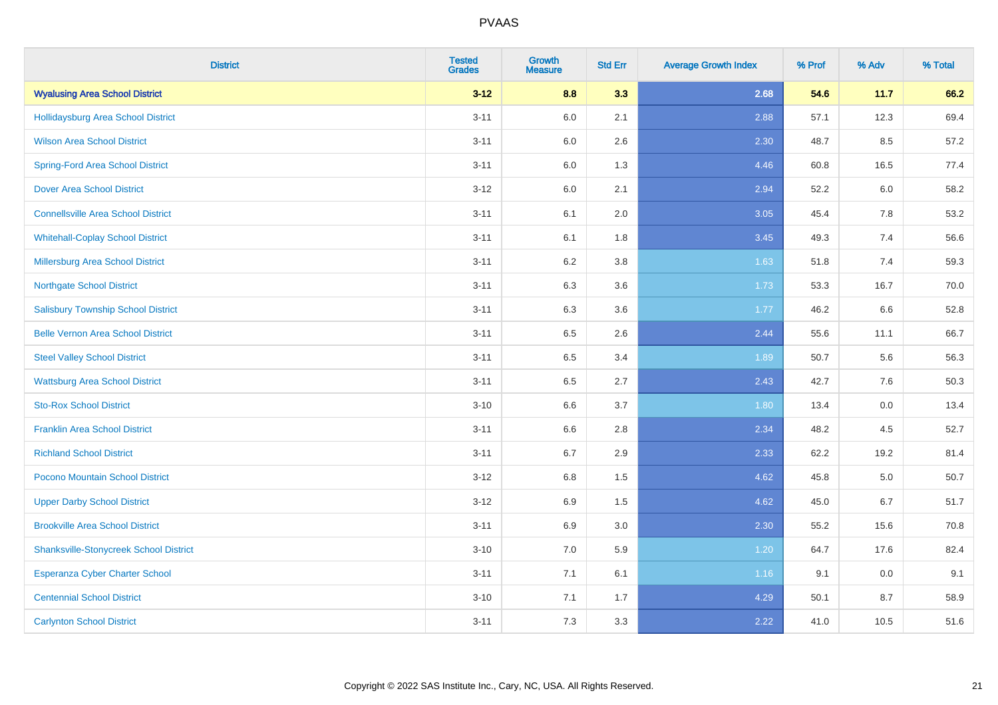| <b>District</b>                               | <b>Tested</b><br><b>Grades</b> | <b>Growth</b><br><b>Measure</b> | <b>Std Err</b> | <b>Average Growth Index</b> | % Prof | % Adv | % Total |
|-----------------------------------------------|--------------------------------|---------------------------------|----------------|-----------------------------|--------|-------|---------|
| <b>Wyalusing Area School District</b>         | $3 - 12$                       | 8.8                             | 3.3            | 2.68                        | 54.6   | 11.7  | 66.2    |
| <b>Hollidaysburg Area School District</b>     | $3 - 11$                       | 6.0                             | 2.1            | 2.88                        | 57.1   | 12.3  | 69.4    |
| <b>Wilson Area School District</b>            | $3 - 11$                       | 6.0                             | 2.6            | 2.30                        | 48.7   | 8.5   | 57.2    |
| <b>Spring-Ford Area School District</b>       | $3 - 11$                       | 6.0                             | 1.3            | 4.46                        | 60.8   | 16.5  | 77.4    |
| <b>Dover Area School District</b>             | $3 - 12$                       | 6.0                             | 2.1            | 2.94                        | 52.2   | 6.0   | 58.2    |
| <b>Connellsville Area School District</b>     | $3 - 11$                       | 6.1                             | 2.0            | 3.05                        | 45.4   | 7.8   | 53.2    |
| <b>Whitehall-Coplay School District</b>       | $3 - 11$                       | 6.1                             | 1.8            | 3.45                        | 49.3   | 7.4   | 56.6    |
| <b>Millersburg Area School District</b>       | $3 - 11$                       | 6.2                             | 3.8            | 1.63                        | 51.8   | 7.4   | 59.3    |
| <b>Northgate School District</b>              | $3 - 11$                       | 6.3                             | 3.6            | 1.73                        | 53.3   | 16.7  | 70.0    |
| <b>Salisbury Township School District</b>     | $3 - 11$                       | 6.3                             | 3.6            | 1.77                        | 46.2   | 6.6   | 52.8    |
| <b>Belle Vernon Area School District</b>      | $3 - 11$                       | 6.5                             | 2.6            | 2.44                        | 55.6   | 11.1  | 66.7    |
| <b>Steel Valley School District</b>           | $3 - 11$                       | 6.5                             | 3.4            | 1.89                        | 50.7   | 5.6   | 56.3    |
| <b>Wattsburg Area School District</b>         | $3 - 11$                       | 6.5                             | 2.7            | 2.43                        | 42.7   | 7.6   | 50.3    |
| <b>Sto-Rox School District</b>                | $3 - 10$                       | 6.6                             | 3.7            | 1.80                        | 13.4   | 0.0   | 13.4    |
| <b>Franklin Area School District</b>          | $3 - 11$                       | 6.6                             | 2.8            | 2.34                        | 48.2   | 4.5   | 52.7    |
| <b>Richland School District</b>               | $3 - 11$                       | 6.7                             | 2.9            | 2.33                        | 62.2   | 19.2  | 81.4    |
| Pocono Mountain School District               | $3 - 12$                       | 6.8                             | 1.5            | 4.62                        | 45.8   | 5.0   | 50.7    |
| <b>Upper Darby School District</b>            | $3 - 12$                       | 6.9                             | 1.5            | 4.62                        | 45.0   | 6.7   | 51.7    |
| <b>Brookville Area School District</b>        | $3 - 11$                       | 6.9                             | 3.0            | 2.30                        | 55.2   | 15.6  | 70.8    |
| <b>Shanksville-Stonycreek School District</b> | $3 - 10$                       | 7.0                             | 5.9            | $1.20$                      | 64.7   | 17.6  | 82.4    |
| <b>Esperanza Cyber Charter School</b>         | $3 - 11$                       | 7.1                             | 6.1            | 1.16                        | 9.1    | 0.0   | 9.1     |
| <b>Centennial School District</b>             | $3 - 10$                       | 7.1                             | 1.7            | 4.29                        | 50.1   | 8.7   | 58.9    |
| <b>Carlynton School District</b>              | $3 - 11$                       | 7.3                             | 3.3            | 2.22                        | 41.0   | 10.5  | 51.6    |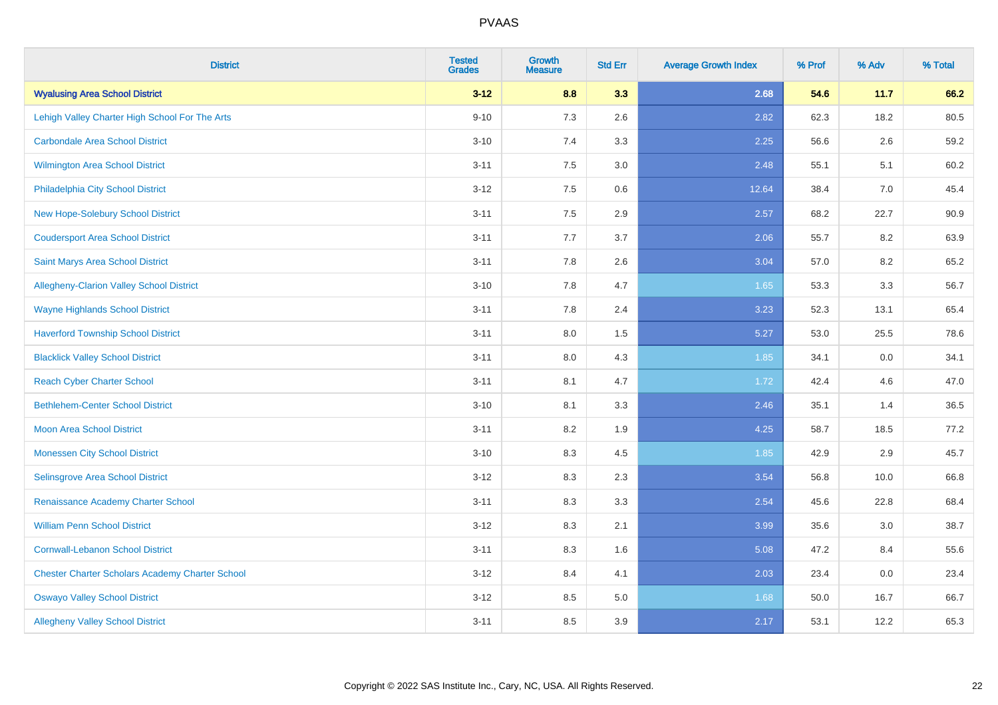| <b>District</b>                                        | <b>Tested</b><br><b>Grades</b> | <b>Growth</b><br><b>Measure</b> | <b>Std Err</b> | <b>Average Growth Index</b> | % Prof | % Adv | % Total |
|--------------------------------------------------------|--------------------------------|---------------------------------|----------------|-----------------------------|--------|-------|---------|
| <b>Wyalusing Area School District</b>                  | $3 - 12$                       | 8.8                             | 3.3            | 2.68                        | 54.6   | 11.7  | 66.2    |
| Lehigh Valley Charter High School For The Arts         | $9 - 10$                       | 7.3                             | 2.6            | 2.82                        | 62.3   | 18.2  | 80.5    |
| <b>Carbondale Area School District</b>                 | $3 - 10$                       | 7.4                             | 3.3            | 2.25                        | 56.6   | 2.6   | 59.2    |
| <b>Wilmington Area School District</b>                 | $3 - 11$                       | 7.5                             | 3.0            | 2.48                        | 55.1   | 5.1   | 60.2    |
| Philadelphia City School District                      | $3-12$                         | 7.5                             | 0.6            | 12.64                       | 38.4   | 7.0   | 45.4    |
| New Hope-Solebury School District                      | $3 - 11$                       | 7.5                             | 2.9            | 2.57                        | 68.2   | 22.7  | 90.9    |
| <b>Coudersport Area School District</b>                | $3 - 11$                       | 7.7                             | 3.7            | 2.06                        | 55.7   | 8.2   | 63.9    |
| Saint Marys Area School District                       | $3 - 11$                       | 7.8                             | 2.6            | 3.04                        | 57.0   | 8.2   | 65.2    |
| Allegheny-Clarion Valley School District               | $3 - 10$                       | 7.8                             | 4.7            | 1.65                        | 53.3   | 3.3   | 56.7    |
| <b>Wayne Highlands School District</b>                 | $3 - 11$                       | 7.8                             | 2.4            | 3.23                        | 52.3   | 13.1  | 65.4    |
| <b>Haverford Township School District</b>              | $3 - 11$                       | 8.0                             | 1.5            | 5.27                        | 53.0   | 25.5  | 78.6    |
| <b>Blacklick Valley School District</b>                | $3 - 11$                       | 8.0                             | 4.3            | 1.85                        | 34.1   | 0.0   | 34.1    |
| <b>Reach Cyber Charter School</b>                      | $3 - 11$                       | 8.1                             | 4.7            | 1.72                        | 42.4   | 4.6   | 47.0    |
| <b>Bethlehem-Center School District</b>                | $3 - 10$                       | 8.1                             | 3.3            | 2.46                        | 35.1   | 1.4   | 36.5    |
| Moon Area School District                              | $3 - 11$                       | 8.2                             | 1.9            | 4.25                        | 58.7   | 18.5  | 77.2    |
| <b>Monessen City School District</b>                   | $3 - 10$                       | 8.3                             | 4.5            | 1.85                        | 42.9   | 2.9   | 45.7    |
| Selinsgrove Area School District                       | $3-12$                         | 8.3                             | 2.3            | 3.54                        | 56.8   | 10.0  | 66.8    |
| Renaissance Academy Charter School                     | $3 - 11$                       | 8.3                             | 3.3            | 2.54                        | 45.6   | 22.8  | 68.4    |
| <b>William Penn School District</b>                    | $3 - 12$                       | 8.3                             | 2.1            | 3.99                        | 35.6   | 3.0   | 38.7    |
| <b>Cornwall-Lebanon School District</b>                | $3 - 11$                       | 8.3                             | 1.6            | 5.08                        | 47.2   | 8.4   | 55.6    |
| <b>Chester Charter Scholars Academy Charter School</b> | $3 - 12$                       | 8.4                             | 4.1            | 2.03                        | 23.4   | 0.0   | 23.4    |
| <b>Oswayo Valley School District</b>                   | $3-12$                         | 8.5                             | 5.0            | 1.68                        | 50.0   | 16.7  | 66.7    |
| <b>Allegheny Valley School District</b>                | $3 - 11$                       | 8.5                             | 3.9            | 2.17                        | 53.1   | 12.2  | 65.3    |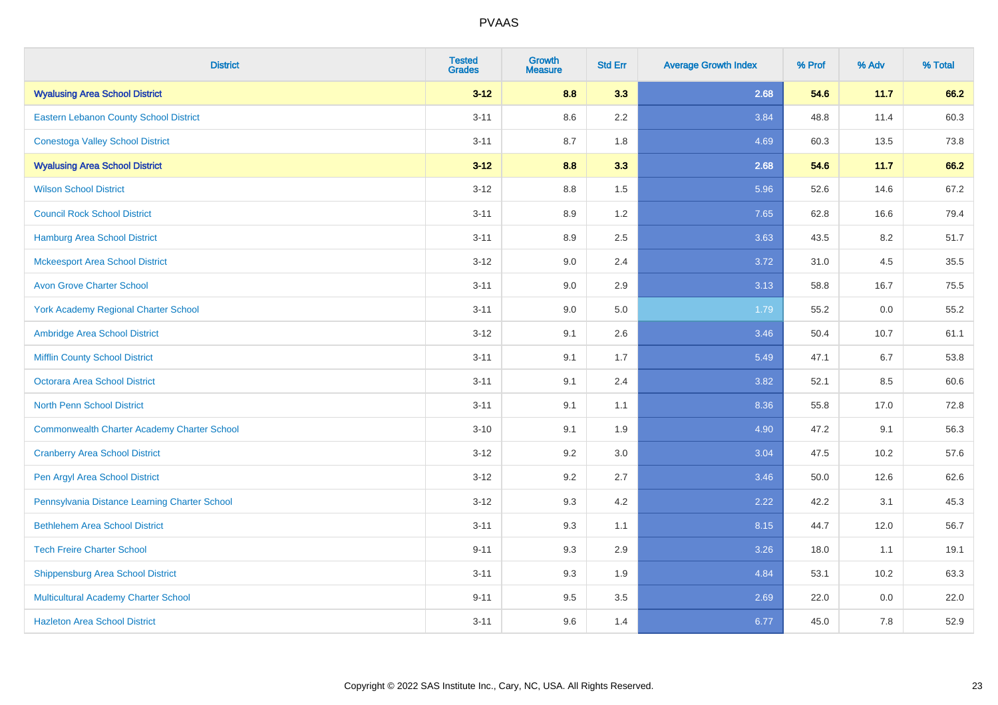| <b>District</b>                                    | <b>Tested</b><br><b>Grades</b> | Growth<br><b>Measure</b> | <b>Std Err</b>   | <b>Average Growth Index</b> | % Prof | % Adv | % Total |
|----------------------------------------------------|--------------------------------|--------------------------|------------------|-----------------------------|--------|-------|---------|
| <b>Wyalusing Area School District</b>              | $3 - 12$                       | 8.8                      | 3.3              | 2.68                        | 54.6   | 11.7  | 66.2    |
| Eastern Lebanon County School District             | $3 - 11$                       | 8.6                      | 2.2              | 3.84                        | 48.8   | 11.4  | 60.3    |
| <b>Conestoga Valley School District</b>            | $3 - 11$                       | 8.7                      | 1.8              | 4.69                        | 60.3   | 13.5  | 73.8    |
| <b>Wyalusing Area School District</b>              | $3 - 12$                       | 8.8                      | 3.3 <sub>1</sub> | 2.68                        | 54.6   | 11.7  | 66.2    |
| <b>Wilson School District</b>                      | $3-12$                         | 8.8                      | 1.5              | 5.96                        | 52.6   | 14.6  | 67.2    |
| <b>Council Rock School District</b>                | $3 - 11$                       | 8.9                      | 1.2              | 7.65                        | 62.8   | 16.6  | 79.4    |
| <b>Hamburg Area School District</b>                | $3 - 11$                       | 8.9                      | 2.5              | 3.63                        | 43.5   | 8.2   | 51.7    |
| <b>Mckeesport Area School District</b>             | $3-12$                         | 9.0                      | 2.4              | 3.72                        | 31.0   | 4.5   | 35.5    |
| <b>Avon Grove Charter School</b>                   | $3 - 11$                       | 9.0                      | 2.9              | 3.13                        | 58.8   | 16.7  | 75.5    |
| <b>York Academy Regional Charter School</b>        | $3 - 11$                       | 9.0                      | 5.0              | 1.79                        | 55.2   | 0.0   | 55.2    |
| Ambridge Area School District                      | $3 - 12$                       | 9.1                      | 2.6              | 3.46                        | 50.4   | 10.7  | 61.1    |
| <b>Mifflin County School District</b>              | $3 - 11$                       | 9.1                      | 1.7              | 5.49                        | 47.1   | 6.7   | 53.8    |
| Octorara Area School District                      | $3 - 11$                       | 9.1                      | 2.4              | 3.82                        | 52.1   | 8.5   | 60.6    |
| <b>North Penn School District</b>                  | $3 - 11$                       | 9.1                      | 1.1              | 8.36                        | 55.8   | 17.0  | 72.8    |
| <b>Commonwealth Charter Academy Charter School</b> | $3 - 10$                       | 9.1                      | 1.9              | 4.90                        | 47.2   | 9.1   | 56.3    |
| <b>Cranberry Area School District</b>              | $3-12$                         | 9.2                      | 3.0              | 3.04                        | 47.5   | 10.2  | 57.6    |
| Pen Argyl Area School District                     | $3 - 12$                       | 9.2                      | 2.7              | 3.46                        | 50.0   | 12.6  | 62.6    |
| Pennsylvania Distance Learning Charter School      | $3 - 12$                       | 9.3                      | 4.2              | 2.22                        | 42.2   | 3.1   | 45.3    |
| <b>Bethlehem Area School District</b>              | $3 - 11$                       | 9.3                      | 1.1              | 8.15                        | 44.7   | 12.0  | 56.7    |
| <b>Tech Freire Charter School</b>                  | $9 - 11$                       | 9.3                      | 2.9              | 3.26                        | 18.0   | 1.1   | 19.1    |
| <b>Shippensburg Area School District</b>           | $3 - 11$                       | 9.3                      | 1.9              | 4.84                        | 53.1   | 10.2  | 63.3    |
| Multicultural Academy Charter School               | $9 - 11$                       | 9.5                      | 3.5              | 2.69                        | 22.0   | 0.0   | 22.0    |
| <b>Hazleton Area School District</b>               | $3 - 11$                       | 9.6                      | 1.4              | 6.77                        | 45.0   | 7.8   | 52.9    |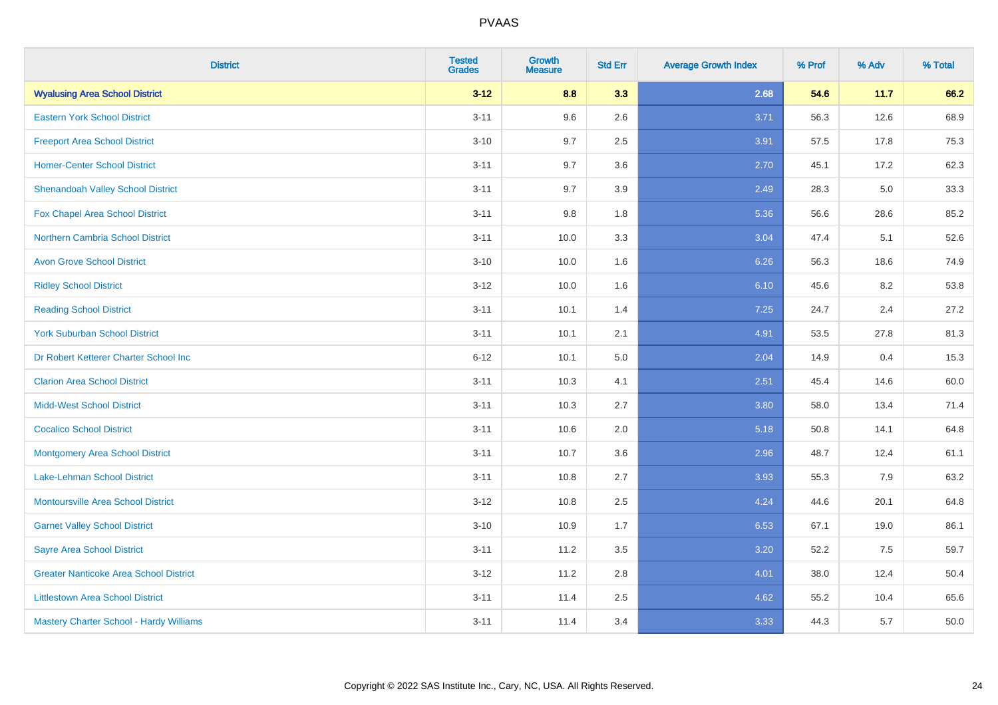| <b>District</b>                               | <b>Tested</b><br><b>Grades</b> | <b>Growth</b><br><b>Measure</b> | <b>Std Err</b> | <b>Average Growth Index</b> | % Prof | % Adv | % Total |
|-----------------------------------------------|--------------------------------|---------------------------------|----------------|-----------------------------|--------|-------|---------|
| <b>Wyalusing Area School District</b>         | $3 - 12$                       | 8.8                             | 3.3            | 2.68                        | 54.6   | 11.7  | 66.2    |
| <b>Eastern York School District</b>           | $3 - 11$                       | 9.6                             | 2.6            | 3.71                        | 56.3   | 12.6  | 68.9    |
| <b>Freeport Area School District</b>          | $3 - 10$                       | 9.7                             | 2.5            | 3.91                        | 57.5   | 17.8  | 75.3    |
| <b>Homer-Center School District</b>           | $3 - 11$                       | 9.7                             | 3.6            | 2.70                        | 45.1   | 17.2  | 62.3    |
| <b>Shenandoah Valley School District</b>      | $3 - 11$                       | 9.7                             | 3.9            | 2.49                        | 28.3   | 5.0   | 33.3    |
| <b>Fox Chapel Area School District</b>        | $3 - 11$                       | 9.8                             | 1.8            | 5.36                        | 56.6   | 28.6  | 85.2    |
| <b>Northern Cambria School District</b>       | $3 - 11$                       | 10.0                            | 3.3            | 3.04                        | 47.4   | 5.1   | 52.6    |
| <b>Avon Grove School District</b>             | $3 - 10$                       | 10.0                            | 1.6            | 6.26                        | 56.3   | 18.6  | 74.9    |
| <b>Ridley School District</b>                 | $3 - 12$                       | 10.0                            | 1.6            | 6.10                        | 45.6   | 8.2   | 53.8    |
| <b>Reading School District</b>                | $3 - 11$                       | 10.1                            | 1.4            | 7.25                        | 24.7   | 2.4   | 27.2    |
| <b>York Suburban School District</b>          | $3 - 11$                       | 10.1                            | 2.1            | 4.91                        | 53.5   | 27.8  | 81.3    |
| Dr Robert Ketterer Charter School Inc         | $6 - 12$                       | 10.1                            | 5.0            | 2.04                        | 14.9   | 0.4   | 15.3    |
| <b>Clarion Area School District</b>           | $3 - 11$                       | 10.3                            | 4.1            | 2.51                        | 45.4   | 14.6  | 60.0    |
| <b>Midd-West School District</b>              | $3 - 11$                       | 10.3                            | 2.7            | 3.80                        | 58.0   | 13.4  | 71.4    |
| <b>Cocalico School District</b>               | $3 - 11$                       | 10.6                            | 2.0            | 5.18                        | 50.8   | 14.1  | 64.8    |
| <b>Montgomery Area School District</b>        | $3 - 11$                       | 10.7                            | 3.6            | 2.96                        | 48.7   | 12.4  | 61.1    |
| Lake-Lehman School District                   | $3 - 11$                       | 10.8                            | 2.7            | 3.93                        | 55.3   | 7.9   | 63.2    |
| <b>Montoursville Area School District</b>     | $3 - 12$                       | 10.8                            | 2.5            | 4.24                        | 44.6   | 20.1  | 64.8    |
| <b>Garnet Valley School District</b>          | $3 - 10$                       | 10.9                            | 1.7            | 6.53                        | 67.1   | 19.0  | 86.1    |
| <b>Sayre Area School District</b>             | $3 - 11$                       | 11.2                            | 3.5            | 3.20                        | 52.2   | 7.5   | 59.7    |
| <b>Greater Nanticoke Area School District</b> | $3-12$                         | 11.2                            | 2.8            | 4.01                        | 38.0   | 12.4  | 50.4    |
| <b>Littlestown Area School District</b>       | $3 - 11$                       | 11.4                            | 2.5            | 4.62                        | 55.2   | 10.4  | 65.6    |
| Mastery Charter School - Hardy Williams       | $3 - 11$                       | 11.4                            | 3.4            | 3.33                        | 44.3   | 5.7   | 50.0    |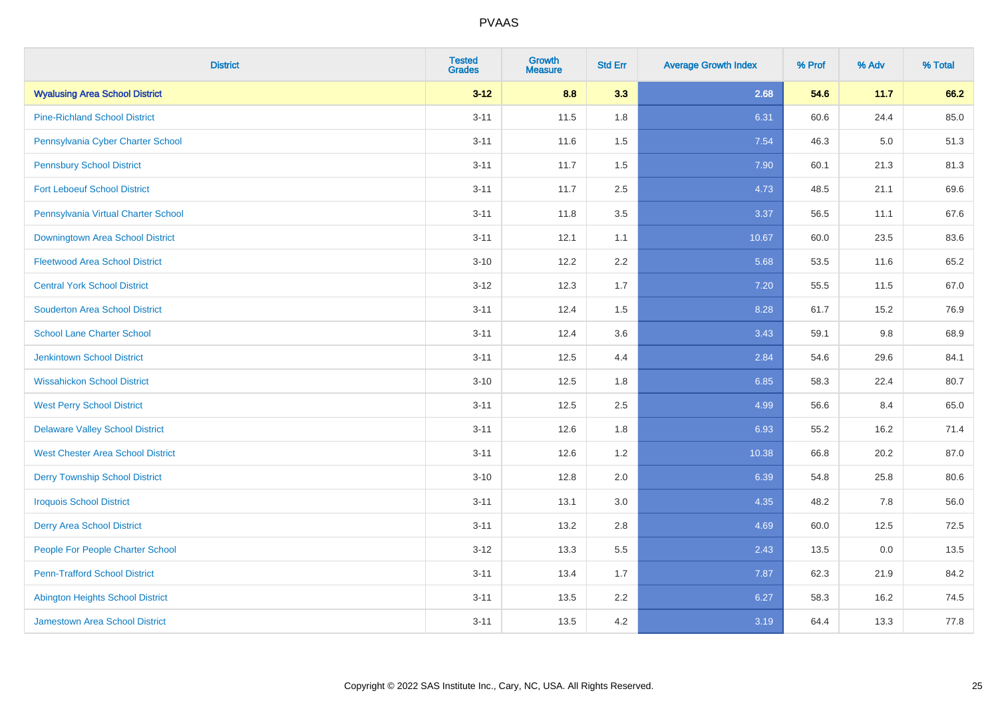| <b>District</b>                          | <b>Tested</b><br><b>Grades</b> | <b>Growth</b><br><b>Measure</b> | <b>Std Err</b> | <b>Average Growth Index</b> | % Prof | % Adv   | % Total |
|------------------------------------------|--------------------------------|---------------------------------|----------------|-----------------------------|--------|---------|---------|
| <b>Wyalusing Area School District</b>    | $3 - 12$                       | 8.8                             | 3.3            | 2.68                        | 54.6   | 11.7    | 66.2    |
| <b>Pine-Richland School District</b>     | $3 - 11$                       | 11.5                            | 1.8            | 6.31                        | 60.6   | 24.4    | 85.0    |
| Pennsylvania Cyber Charter School        | $3 - 11$                       | 11.6                            | 1.5            | 7.54                        | 46.3   | $5.0\,$ | 51.3    |
| <b>Pennsbury School District</b>         | $3 - 11$                       | 11.7                            | 1.5            | 7.90                        | 60.1   | 21.3    | 81.3    |
| <b>Fort Leboeuf School District</b>      | $3 - 11$                       | 11.7                            | 2.5            | 4.73                        | 48.5   | 21.1    | 69.6    |
| Pennsylvania Virtual Charter School      | $3 - 11$                       | 11.8                            | 3.5            | 3.37                        | 56.5   | 11.1    | 67.6    |
| Downingtown Area School District         | $3 - 11$                       | 12.1                            | 1.1            | 10.67                       | 60.0   | 23.5    | 83.6    |
| <b>Fleetwood Area School District</b>    | $3 - 10$                       | 12.2                            | 2.2            | 5.68                        | 53.5   | 11.6    | 65.2    |
| <b>Central York School District</b>      | $3 - 12$                       | 12.3                            | 1.7            | 7.20                        | 55.5   | 11.5    | 67.0    |
| <b>Souderton Area School District</b>    | $3 - 11$                       | 12.4                            | 1.5            | 8.28                        | 61.7   | 15.2    | 76.9    |
| <b>School Lane Charter School</b>        | $3 - 11$                       | 12.4                            | 3.6            | 3.43                        | 59.1   | 9.8     | 68.9    |
| Jenkintown School District               | $3 - 11$                       | 12.5                            | 4.4            | 2.84                        | 54.6   | 29.6    | 84.1    |
| <b>Wissahickon School District</b>       | $3 - 10$                       | 12.5                            | 1.8            | 6.85                        | 58.3   | 22.4    | 80.7    |
| <b>West Perry School District</b>        | $3 - 11$                       | 12.5                            | 2.5            | 4.99                        | 56.6   | 8.4     | 65.0    |
| <b>Delaware Valley School District</b>   | $3 - 11$                       | 12.6                            | 1.8            | 6.93                        | 55.2   | 16.2    | 71.4    |
| <b>West Chester Area School District</b> | $3 - 11$                       | 12.6                            | 1.2            | 10.38                       | 66.8   | 20.2    | 87.0    |
| <b>Derry Township School District</b>    | $3 - 10$                       | 12.8                            | 2.0            | 6.39                        | 54.8   | 25.8    | 80.6    |
| <b>Iroquois School District</b>          | $3 - 11$                       | 13.1                            | 3.0            | 4.35                        | 48.2   | 7.8     | 56.0    |
| <b>Derry Area School District</b>        | $3 - 11$                       | 13.2                            | 2.8            | 4.69                        | 60.0   | 12.5    | 72.5    |
| People For People Charter School         | $3-12$                         | 13.3                            | 5.5            | 2.43                        | 13.5   | 0.0     | 13.5    |
| <b>Penn-Trafford School District</b>     | $3 - 11$                       | 13.4                            | 1.7            | 7.87                        | 62.3   | 21.9    | 84.2    |
| <b>Abington Heights School District</b>  | $3 - 11$                       | 13.5                            | 2.2            | 6.27                        | 58.3   | 16.2    | 74.5    |
| <b>Jamestown Area School District</b>    | $3 - 11$                       | 13.5                            | 4.2            | 3.19                        | 64.4   | 13.3    | 77.8    |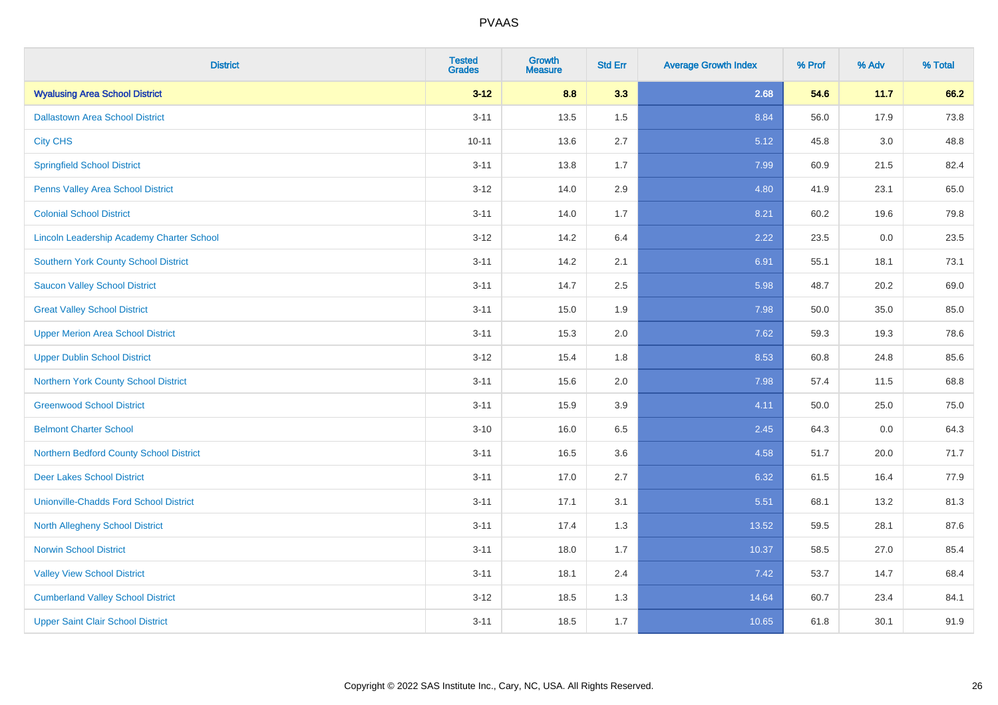| <b>District</b>                               | <b>Tested</b><br><b>Grades</b> | <b>Growth</b><br><b>Measure</b> | <b>Std Err</b> | <b>Average Growth Index</b> | % Prof | % Adv   | % Total |
|-----------------------------------------------|--------------------------------|---------------------------------|----------------|-----------------------------|--------|---------|---------|
| <b>Wyalusing Area School District</b>         | $3 - 12$                       | 8.8                             | 3.3            | 2.68                        | 54.6   | $11.7$  | 66.2    |
| <b>Dallastown Area School District</b>        | $3 - 11$                       | 13.5                            | 1.5            | 8.84                        | 56.0   | 17.9    | 73.8    |
| <b>City CHS</b>                               | $10 - 11$                      | 13.6                            | 2.7            | 5.12                        | 45.8   | $3.0\,$ | 48.8    |
| <b>Springfield School District</b>            | $3 - 11$                       | 13.8                            | 1.7            | 7.99                        | 60.9   | 21.5    | 82.4    |
| Penns Valley Area School District             | $3 - 12$                       | 14.0                            | 2.9            | 4.80                        | 41.9   | 23.1    | 65.0    |
| <b>Colonial School District</b>               | $3 - 11$                       | 14.0                            | 1.7            | 8.21                        | 60.2   | 19.6    | 79.8    |
| Lincoln Leadership Academy Charter School     | $3 - 12$                       | 14.2                            | 6.4            | 2.22                        | 23.5   | 0.0     | 23.5    |
| <b>Southern York County School District</b>   | $3 - 11$                       | 14.2                            | 2.1            | 6.91                        | 55.1   | 18.1    | 73.1    |
| <b>Saucon Valley School District</b>          | $3 - 11$                       | 14.7                            | 2.5            | 5.98                        | 48.7   | 20.2    | 69.0    |
| <b>Great Valley School District</b>           | $3 - 11$                       | 15.0                            | 1.9            | 7.98                        | 50.0   | 35.0    | 85.0    |
| <b>Upper Merion Area School District</b>      | $3 - 11$                       | 15.3                            | 2.0            | 7.62                        | 59.3   | 19.3    | 78.6    |
| <b>Upper Dublin School District</b>           | $3 - 12$                       | 15.4                            | 1.8            | 8.53                        | 60.8   | 24.8    | 85.6    |
| Northern York County School District          | $3 - 11$                       | 15.6                            | 2.0            | 7.98                        | 57.4   | 11.5    | 68.8    |
| <b>Greenwood School District</b>              | $3 - 11$                       | 15.9                            | 3.9            | 4.11                        | 50.0   | 25.0    | 75.0    |
| <b>Belmont Charter School</b>                 | $3 - 10$                       | 16.0                            | 6.5            | 2.45                        | 64.3   | 0.0     | 64.3    |
| Northern Bedford County School District       | $3 - 11$                       | 16.5                            | 3.6            | 4.58                        | 51.7   | 20.0    | 71.7    |
| <b>Deer Lakes School District</b>             | $3 - 11$                       | 17.0                            | 2.7            | 6.32                        | 61.5   | 16.4    | 77.9    |
| <b>Unionville-Chadds Ford School District</b> | $3 - 11$                       | 17.1                            | 3.1            | 5.51                        | 68.1   | 13.2    | 81.3    |
| <b>North Allegheny School District</b>        | $3 - 11$                       | 17.4                            | 1.3            | 13.52                       | 59.5   | 28.1    | 87.6    |
| <b>Norwin School District</b>                 | $3 - 11$                       | 18.0                            | 1.7            | 10.37                       | 58.5   | 27.0    | 85.4    |
| <b>Valley View School District</b>            | $3 - 11$                       | 18.1                            | 2.4            | 7.42                        | 53.7   | 14.7    | 68.4    |
| <b>Cumberland Valley School District</b>      | $3 - 12$                       | 18.5                            | 1.3            | 14.64                       | 60.7   | 23.4    | 84.1    |
| <b>Upper Saint Clair School District</b>      | $3 - 11$                       | 18.5                            | 1.7            | 10.65                       | 61.8   | 30.1    | 91.9    |